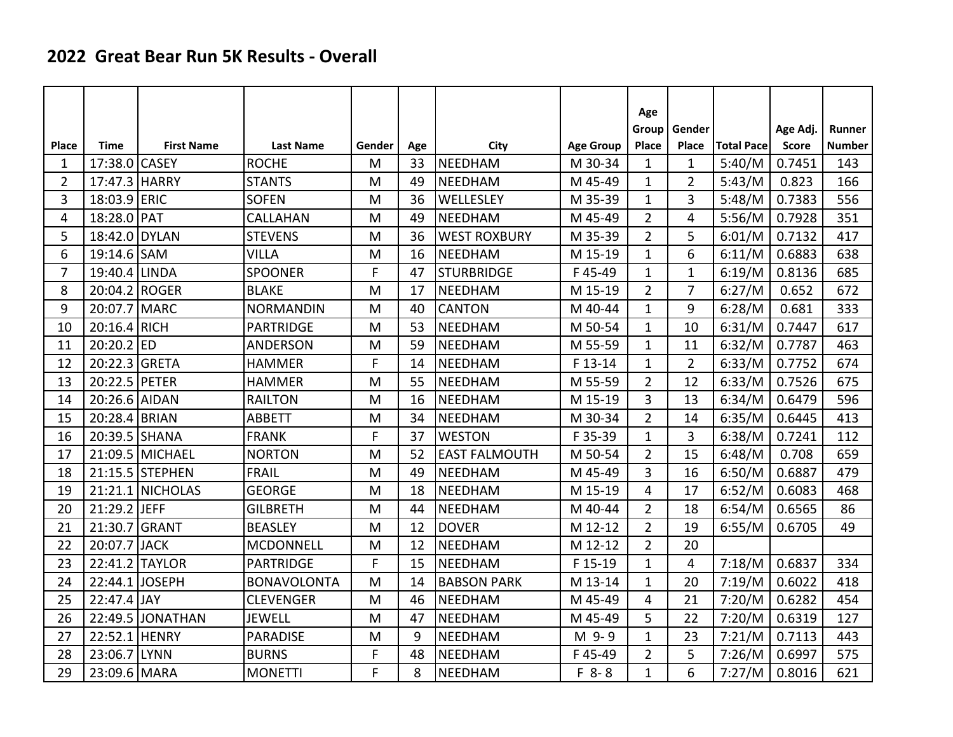## **2022 Great Bear Run 5K Results - Overall**

|                |               |                   |                    |        |     |                      |                  | Age            |                |                   |              |               |
|----------------|---------------|-------------------|--------------------|--------|-----|----------------------|------------------|----------------|----------------|-------------------|--------------|---------------|
|                |               |                   |                    |        |     |                      |                  | Group          | Gender         |                   | Age Adj.     | Runner        |
| <b>Place</b>   | Time          | <b>First Name</b> | <b>Last Name</b>   | Gender | Age | City                 | <b>Age Group</b> | Place          | Place          | <b>Total Pace</b> | <b>Score</b> | <b>Number</b> |
| 1              | 17:38.0       | <b>CASEY</b>      | <b>ROCHE</b>       | M      | 33  | <b>NEEDHAM</b>       | M 30-34          | $\mathbf{1}$   | $\mathbf{1}$   | 5:40/M            | 0.7451       | 143           |
| $\overline{2}$ | 17:47.3 HARRY |                   | <b>STANTS</b>      | M      | 49  | <b>NEEDHAM</b>       | M 45-49          | $\mathbf{1}$   | $\overline{2}$ | 5:43/M            | 0.823        | 166           |
| 3              | 18:03.9 ERIC  |                   | <b>SOFEN</b>       | M      | 36  | WELLESLEY            | M 35-39          | $\mathbf{1}$   | 3              | 5:48/M            | 0.7383       | 556           |
| 4              | 18:28.0 PAT   |                   | CALLAHAN           | M      | 49  | <b>NEEDHAM</b>       | M 45-49          | $\overline{2}$ | 4              | 5:56/M            | 0.7928       | 351           |
| 5              | 18:42.0       | <b>DYLAN</b>      | <b>STEVENS</b>     | M      | 36  | <b>WEST ROXBURY</b>  | M 35-39          | $\overline{2}$ | 5              | 6:01/M            | 0.7132       | 417           |
| 6              | 19:14.6 SAM   |                   | <b>VILLA</b>       | M      | 16  | <b>NEEDHAM</b>       | M 15-19          | $\mathbf{1}$   | 6              | 6:11/M            | 0.6883       | 638           |
| $\overline{7}$ | 19:40.4       | <b>LINDA</b>      | <b>SPOONER</b>     | F      | 47  | <b>STURBRIDGE</b>    | F45-49           | $\mathbf{1}$   | $\mathbf{1}$   | 6:19/M            | 0.8136       | 685           |
| 8              | 20:04.2 ROGER |                   | <b>BLAKE</b>       | M      | 17  | <b>NEEDHAM</b>       | M 15-19          | $\overline{2}$ | 7              | 6:27/M            | 0.652        | 672           |
| 9              | 20:07.7       | MARC              | <b>NORMANDIN</b>   | M      | 40  | <b>CANTON</b>        | M 40-44          | $\mathbf{1}$   | 9              | 6:28/M            | 0.681        | 333           |
| 10             | 20:16.4       | RICH              | <b>PARTRIDGE</b>   | M      | 53  | <b>NEEDHAM</b>       | M 50-54          | $\mathbf{1}$   | 10             | 6:31/M            | 0.7447       | 617           |
| 11             | $20:20.2$ ED  |                   | <b>ANDERSON</b>    | M      | 59  | <b>NEEDHAM</b>       | M 55-59          | $\mathbf{1}$   | 11             | 6:32/M            | 0.7787       | 463           |
| 12             | 20:22.3       | <b>GRETA</b>      | <b>HAMMER</b>      | F      | 14  | <b>NEEDHAM</b>       | F 13-14          | $\mathbf{1}$   | $\overline{2}$ | 6:33/M            | 0.7752       | 674           |
| 13             | 20:22.5       | PETER             | <b>HAMMER</b>      | M      | 55  | <b>NEEDHAM</b>       | M 55-59          | $\overline{2}$ | 12             | 6:33/M            | 0.7526       | 675           |
| 14             | 20:26.6 AIDAN |                   | <b>RAILTON</b>     | M      | 16  | <b>NEEDHAM</b>       | M 15-19          | 3              | 13             | 6:34/M            | 0.6479       | 596           |
| 15             | 20:28.4       | BRIAN             | <b>ABBETT</b>      | M      | 34  | <b>NEEDHAM</b>       | M 30-34          | $\overline{2}$ | 14             | 6:35/M            | 0.6445       | 413           |
| 16             | 20:39.5       | SHANA             | <b>FRANK</b>       | F      | 37  | <b>WESTON</b>        | F 35-39          | $\mathbf{1}$   | 3              | 6:38/M            | 0.7241       | 112           |
| 17             |               | 21:09.5 MICHAEL   | <b>NORTON</b>      | M      | 52  | <b>EAST FALMOUTH</b> | M 50-54          | $\overline{2}$ | 15             | 6:48/M            | 0.708        | 659           |
| 18             |               | 21:15.5 STEPHEN   | <b>FRAIL</b>       | M      | 49  | <b>NEEDHAM</b>       | M 45-49          | 3              | 16             | 6:50/M            | 0.6887       | 479           |
| 19             | 21:21.1       | <b>NICHOLAS</b>   | <b>GEORGE</b>      | M      | 18  | <b>NEEDHAM</b>       | M 15-19          | $\overline{4}$ | 17             | 6:52/M            | 0.6083       | 468           |
| 20             | 21:29.2 JEFF  |                   | <b>GILBRETH</b>    | M      | 44  | NEEDHAM              | M 40-44          | $\overline{2}$ | 18             | 6:54/M            | 0.6565       | 86            |
| 21             | 21:30.7       | <b>GRANT</b>      | <b>BEASLEY</b>     | M      | 12  | <b>DOVER</b>         | M 12-12          | $\overline{2}$ | 19             | 6:55/M            | 0.6705       | 49            |
| 22             | 20:07.7       | <b>JACK</b>       | <b>MCDONNELL</b>   | M      | 12  | <b>NEEDHAM</b>       | M 12-12          | $\overline{2}$ | 20             |                   |              |               |
| 23             |               | 22:41.2 TAYLOR    | <b>PARTRIDGE</b>   | F      | 15  | NEEDHAM              | F 15-19          | $\mathbf{1}$   | $\overline{4}$ | 7:18/M            | 0.6837       | 334           |
| 24             | 22:44.1       | <b>JOSEPH</b>     | <b>BONAVOLONTA</b> | M      | 14  | <b>BABSON PARK</b>   | M 13-14          | $\mathbf{1}$   | 20             | 7:19/M            | 0.6022       | 418           |
| 25             | 22:47.4 JAY   |                   | <b>CLEVENGER</b>   | M      | 46  | <b>NEEDHAM</b>       | M 45-49          | 4              | 21             | 7:20/M            | 0.6282       | 454           |
| 26             | 22:49.5       | <b>JONATHAN</b>   | <b>JEWELL</b>      | M      | 47  | <b>NEEDHAM</b>       | M 45-49          | 5              | 22             | 7:20/M            | 0.6319       | 127           |
| 27             | 22:52.1       | HENRY             | <b>PARADISE</b>    | M      | 9   | <b>NEEDHAM</b>       | M 9-9            | $\mathbf{1}$   | 23             | 7:21/M            | 0.7113       | 443           |
| 28             | 23:06.7       | LYNN              | <b>BURNS</b>       | F      | 48  | <b>NEEDHAM</b>       | F45-49           | $\overline{2}$ | 5              | 7:26/M            | 0.6997       | 575           |
| 29             | 23:09.6 MARA  |                   | <b>MONETTI</b>     | F      | 8   | <b>NEEDHAM</b>       | $F 8 - 8$        | $\mathbf{1}$   | 6              | 7:27/M            | 0.8016       | 621           |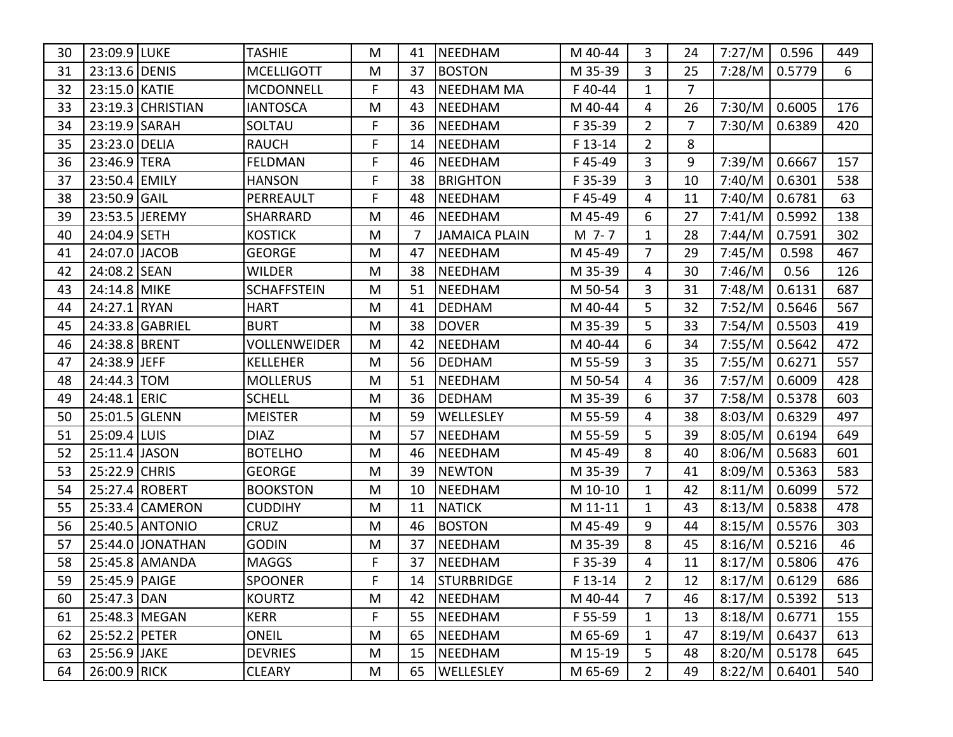| 30 | 23:09.9 LUKE  |                   | TASHIE              | M  | 41 | NEEDHAM              | M 40-44 | 3              | 24             | 7:27/M          | 0.596                | 449 |
|----|---------------|-------------------|---------------------|----|----|----------------------|---------|----------------|----------------|-----------------|----------------------|-----|
| 31 | 23:13.6 DENIS |                   | <b>MCELLIGOTT</b>   | M  | 37 | <b>BOSTON</b>        | M 35-39 | 3              | 25             | 7:28/M          | 0.5779               | 6   |
| 32 | 23:15.0 KATIE |                   | <b>MCDONNELL</b>    | F. | 43 | <b>NEEDHAM MA</b>    | F40-44  | 1              | $\overline{7}$ |                 |                      |     |
| 33 |               | 23:19.3 CHRISTIAN | <b>IANTOSCA</b>     | M  | 43 | NEEDHAM              | M 40-44 | 4              | 26             | 7:30/M          | 0.6005               | 176 |
| 34 | 23:19.9 SARAH |                   | SOLTAU              | F. | 36 | NEEDHAM              | F 35-39 | $\overline{2}$ | $\overline{7}$ | 7:30/M          | 0.6389               | 420 |
| 35 | 23:23.0 DELIA |                   | <b>RAUCH</b>        | F  | 14 | <b>NEEDHAM</b>       | F 13-14 | $\overline{2}$ | 8              |                 |                      |     |
| 36 | 23:46.9 TERA  |                   | <b>FELDMAN</b>      | F  | 46 | <b>NEEDHAM</b>       | F45-49  | 3              | 9              | 7:39/M          | 0.6667               | 157 |
| 37 | 23:50.4 EMILY |                   | <b>HANSON</b>       | F  | 38 | <b>BRIGHTON</b>      | F 35-39 | 3              | 10             | 7:40/M          | 0.6301               | 538 |
| 38 | 23:50.9 GAIL  |                   | PERREAULT           | F  | 48 | <b>NEEDHAM</b>       | F45-49  | 4              | 11             | 7:40/M          | 0.6781               | 63  |
| 39 |               | 23:53.5 JEREMY    | <b>SHARRARD</b>     | M  | 46 | <b>NEEDHAM</b>       | M 45-49 | 6              | 27             | 7:41/M          | 0.5992               | 138 |
| 40 | 24:04.9       | <b>SETH</b>       | <b>KOSTICK</b>      | M  | 7  | <b>JAMAICA PLAIN</b> | M 7-7   | $\mathbf{1}$   | 28             | 7:44/M          | 0.7591               | 302 |
| 41 | 24:07.0 JACOB |                   | <b>GEORGE</b>       | M  | 47 | <b>NEEDHAM</b>       | M 45-49 | 7              | 29             | 7:45/M          | 0.598                | 467 |
| 42 | 24:08.2       | <b>SEAN</b>       | <b>WILDER</b>       | M  | 38 | <b>NEEDHAM</b>       | M 35-39 | 4              | 30             | 7:46/M          | 0.56                 | 126 |
| 43 | 24:14.8 MIKE  |                   | <b>SCHAFFSTEIN</b>  | M  | 51 | <b>NEEDHAM</b>       | M 50-54 | 3              | 31             | 7:48/M          | 0.6131               | 687 |
| 44 | 24:27.1       | RYAN              | <b>HART</b>         | M  | 41 | <b>DEDHAM</b>        | M 40-44 | 5              | 32             | 7:52/M          | 0.5646               | 567 |
| 45 |               | 24:33.8 GABRIEL   | <b>BURT</b>         | M  | 38 | <b>DOVER</b>         | M 35-39 | 5              | 33             | 7:54/M          | 0.5503               | 419 |
| 46 | 24:38.8 BRENT |                   | <b>VOLLENWEIDER</b> | M  | 42 | <b>NEEDHAM</b>       | M 40-44 | 6              | 34             | 7:55/M          | 0.5642               | 472 |
| 47 | 24:38.9 JEFF  |                   | <b>KELLEHER</b>     | M  | 56 | <b>DEDHAM</b>        | M 55-59 | 3              | 35             | 7:55/M          | 0.6271               | 557 |
| 48 | 24:44.3 TOM   |                   | <b>MOLLERUS</b>     | M  | 51 | <b>NEEDHAM</b>       | M 50-54 | 4              | 36             | 7:57/M          | 0.6009               | 428 |
| 49 | 24:48.1 ERIC  |                   | <b>SCHELL</b>       | M  | 36 | <b>DEDHAM</b>        | M 35-39 | 6              | 37             | 7:58/M          | 0.5378               | 603 |
| 50 | 25:01.5 GLENN |                   | <b>MEISTER</b>      | M  | 59 | <b>WELLESLEY</b>     | M 55-59 | 4              | 38             | 8:03/M          | 0.6329               | 497 |
| 51 | 25:09.4 LUIS  |                   | <b>DIAZ</b>         | M  | 57 | <b>NEEDHAM</b>       | M 55-59 | 5              | 39             | 8:05/M          | 0.6194               | 649 |
| 52 | 25:11.4 JASON |                   | <b>BOTELHO</b>      | M  | 46 | NEEDHAM              | M 45-49 | 8              | 40             | 8:06/M          | 0.5683               | 601 |
| 53 | 25:22.9 CHRIS |                   | <b>GEORGE</b>       | M  | 39 | <b>NEWTON</b>        | M 35-39 | 7              | 41             | 8:09/M          | 0.5363               | 583 |
| 54 |               | 25:27.4 ROBERT    | <b>BOOKSTON</b>     | M  | 10 | <b>NEEDHAM</b>       | M 10-10 | 1              | 42             | 8:11/M          | 0.6099               | 572 |
| 55 | 25:33.4       | <b>CAMERON</b>    | <b>CUDDIHY</b>      | M  | 11 | <b>NATICK</b>        | M 11-11 | 1              | 43             | 8:13/M          | 0.5838               | 478 |
| 56 |               | 25:40.5 ANTONIO   | <b>CRUZ</b>         | M  | 46 | <b>BOSTON</b>        | M 45-49 | 9              | 44             | 8:15/M          | 0.5576               | 303 |
| 57 |               | 25:44.0 JONATHAN  | <b>GODIN</b>        | M  | 37 | <b>NEEDHAM</b>       | M 35-39 | 8              | 45             | 8:16/M          | 0.5216               | 46  |
| 58 |               | 25:45.8 AMANDA    | <b>MAGGS</b>        | F  | 37 | NEEDHAM              | F 35-39 | 4              | 11             | 8:17/M          | 0.5806               | 476 |
| 59 | 25:45.9 PAIGE |                   | <b>SPOONER</b>      | F  |    | 14   STURBRIDGE      | F 13-14 | $\overline{2}$ | 12             |                 | 8:17/M   0.6129      | 686 |
| 60 | 25:47.3 DAN   |                   | <b>KOURTZ</b>       | M  | 42 | <b>NEEDHAM</b>       | M 40-44 | $\overline{7}$ | 46             |                 | $8:17/M \mid 0.5392$ | 513 |
| 61 | 25:48.3 MEGAN |                   | KERR                | F. | 55 | NEEDHAM              | F 55-59 | $\mathbf{1}$   | 13             | $8:18/M$ 0.6771 |                      | 155 |
| 62 | 25:52.2 PETER |                   | <b>ONEIL</b>        | M  | 65 | NEEDHAM              | M 65-69 | $\mathbf{1}$   | 47             |                 | $8:19/M$ 0.6437      | 613 |
| 63 | 25:56.9 JAKE  |                   | <b>DEVRIES</b>      | M  | 15 | NEEDHAM              | M 15-19 | 5              | 48             | 8:20/M   0.5178 |                      | 645 |
| 64 | 26:00.9 RICK  |                   | <b>CLEARY</b>       | M  |    | 65   WELLESLEY       | M 65-69 | $\overline{2}$ | 49             | 8:22/M   0.6401 |                      | 540 |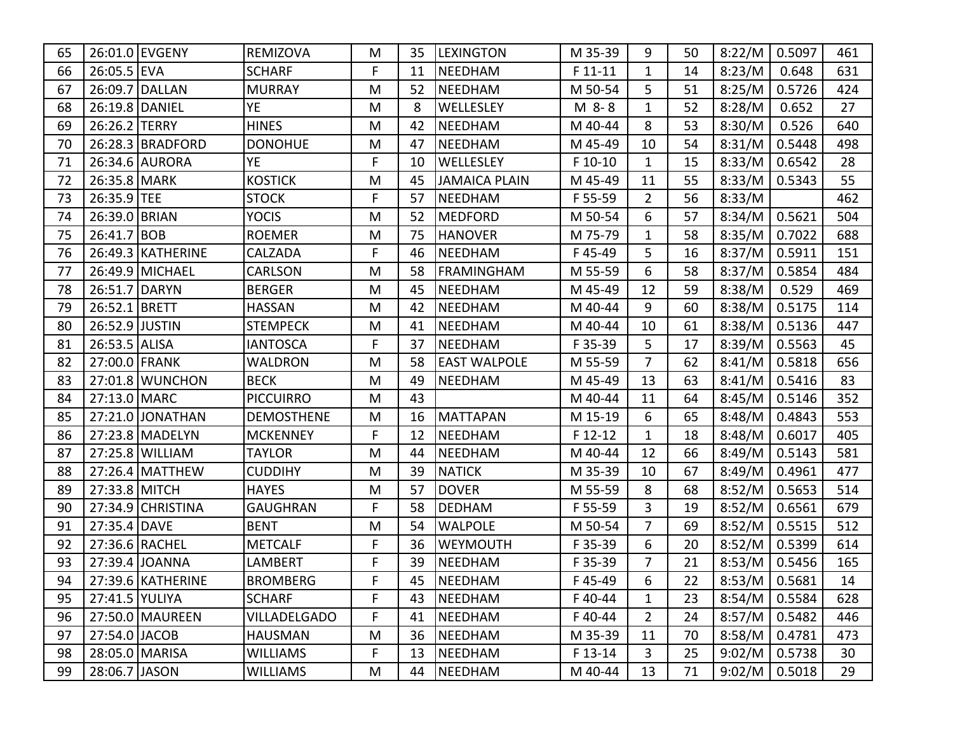| 65 |                | 26:01.0 EVGENY      | <b>REMIZOVA</b>     | M  | 35 | <b>LEXINGTON</b>    | M 35-39  | 9              | 50 | 8:22/M            | 0.5097          | 461 |
|----|----------------|---------------------|---------------------|----|----|---------------------|----------|----------------|----|-------------------|-----------------|-----|
| 66 | 26:05.5 EVA    |                     | <b>SCHARF</b>       | F  | 11 | NEEDHAM             | $F11-11$ | 1              | 14 | 8:23/M            | 0.648           | 631 |
| 67 |                | 26:09.7 DALLAN      | <b>MURRAY</b>       | M  | 52 | NEEDHAM             | M 50-54  | 5              | 51 | 8:25/M            | 0.5726          | 424 |
| 68 |                | 26:19.8 DANIEL      | YE.                 | M  | 8  | <b>WELLESLEY</b>    | M 8-8    | 1              | 52 | 8:28/M            | 0.652           | 27  |
| 69 | 26:26.2 TERRY  |                     | <b>HINES</b>        | M  | 42 | NEEDHAM             | M 40-44  | 8              | 53 | 8:30/M            | 0.526           | 640 |
| 70 |                | 26:28.3   BRADFORD  | <b>DONOHUE</b>      | M  | 47 | <b>NEEDHAM</b>      | M 45-49  | 10             | 54 | 8:31/M            | 0.5448          | 498 |
| 71 |                | 26:34.6 AURORA      | YE.                 | F. | 10 | <b>WELLESLEY</b>    | F 10-10  | $\mathbf{1}$   | 15 | 8:33/M            | 0.6542          | 28  |
| 72 | 26:35.8 MARK   |                     | <b>KOSTICK</b>      | M  | 45 | JAMAICA PLAIN       | M 45-49  | 11             | 55 | $8:33/M$   0.5343 |                 | 55  |
| 73 | 26:35.9 TEE    |                     | <b>STOCK</b>        | F. | 57 | <b>NEEDHAM</b>      | F 55-59  | $\overline{2}$ | 56 | 8:33/M            |                 | 462 |
| 74 | 26:39.0 BRIAN  |                     | <b>YOCIS</b>        | M  | 52 | MEDFORD             | M 50-54  | 6              | 57 | 8:34/M            | 0.5621          | 504 |
| 75 | 26:41.7        | <b>BOB</b>          | <b>ROEMER</b>       | M  | 75 | <b>HANOVER</b>      | M 75-79  | $\mathbf{1}$   | 58 | 8:35/M            | 0.7022          | 688 |
| 76 |                | 26:49.3   KATHERINE | CALZADA             | F. | 46 | NEEDHAM             | F45-49   | 5              | 16 | 8:37/M            | 0.5911          | 151 |
| 77 |                | 26:49.9 MICHAEL     | <b>CARLSON</b>      | M  | 58 | <b>FRAMINGHAM</b>   | M 55-59  | 6              | 58 | 8:37/M            | 0.5854          | 484 |
| 78 | 26:51.7 DARYN  |                     | <b>BERGER</b>       | M  | 45 | <b>NEEDHAM</b>      | M 45-49  | 12             | 59 | 8:38/M            | 0.529           | 469 |
| 79 | 26:52.1 BRETT  |                     | <b>HASSAN</b>       | M  | 42 | <b>NEEDHAM</b>      | M 40-44  | 9              | 60 | 8:38/M            | 0.5175          | 114 |
| 80 | 26:52.9 JUSTIN |                     | <b>STEMPECK</b>     | M  | 41 | <b>NEEDHAM</b>      | M 40-44  | 10             | 61 | 8:38/M            | 0.5136          | 447 |
| 81 | 26:53.5 ALISA  |                     | <b>IANTOSCA</b>     | F. | 37 | <b>NEEDHAM</b>      | F 35-39  | 5              | 17 | 8:39/M            | 0.5563          | 45  |
| 82 | 27:00.0 FRANK  |                     | <b>WALDRON</b>      | M  | 58 | <b>EAST WALPOLE</b> | M 55-59  | $\overline{7}$ | 62 | 8:41/M            | 0.5818          | 656 |
| 83 |                | 27:01.8 WUNCHON     | <b>BECK</b>         | M  | 49 | <b>NEEDHAM</b>      | M 45-49  | 13             | 63 | $8:41/M$ 0.5416   |                 | 83  |
| 84 | 27:13.0 MARC   |                     | <b>PICCUIRRO</b>    | M  | 43 |                     | M 40-44  | 11             | 64 | 8:45/M            | 0.5146          | 352 |
| 85 |                | 27:21.0 JONATHAN    | <b>DEMOSTHENE</b>   | M  | 16 | MATTAPAN            | M 15-19  | 6              | 65 | $8:48/M$ 0.4843   |                 | 553 |
| 86 |                | 27:23.8   MADELYN   | <b>MCKENNEY</b>     | F  | 12 | NEEDHAM             | F 12-12  | 1              | 18 | 8:48/M            | 0.6017          | 405 |
| 87 |                | 27:25.8 WILLIAM     | <b>TAYLOR</b>       | M  | 44 | NEEDHAM             | M 40-44  | 12             | 66 | 8:49/M            | 0.5143          | 581 |
| 88 |                | 27:26.4   MATTHEW   | <b>CUDDIHY</b>      | M  | 39 | NATICK              | M 35-39  | 10             | 67 | 8:49/M            | 0.4961          | 477 |
| 89 | 27:33.8 MITCH  |                     | <b>HAYES</b>        | M  | 57 | <b>DOVER</b>        | M 55-59  | 8              | 68 | 8:52/M            | 0.5653          | 514 |
| 90 |                | 27:34.9 CHRISTINA   | <b>GAUGHRAN</b>     | F  | 58 | <b>DEDHAM</b>       | F 55-59  | 3              | 19 | 8:52/M            | 0.6561          | 679 |
| 91 | 27:35.4 DAVE   |                     | <b>BENT</b>         | M  | 54 | <b>WALPOLE</b>      | M 50-54  | 7              | 69 | 8:52/M            | 0.5515          | 512 |
| 92 |                | 27:36.6 RACHEL      | <b>METCALF</b>      | F  | 36 | <b>WEYMOUTH</b>     | F 35-39  | 6              | 20 | 8:52/M            | 0.5399          | 614 |
| 93 |                | 27:39.4 JOANNA      | LAMBERT             | F  | 39 | NEEDHAM             | F 35-39  | 7              | 21 | 8:53/M            | 0.5456          | 165 |
| 94 |                | 27:39.6 KATHERINE   | <b>BROMBERG</b>     | F  |    | 45  NEEDHAM         | F45-49   | 6              | 22 |                   | 8:53/M   0.5681 | 14  |
| 95 | 27:41.5 YULIYA |                     | <b>SCHARF</b>       | F  | 43 | NEEDHAM             | F40-44   | $\mathbf{1}$   | 23 | 8:54/M   0.5584   |                 | 628 |
| 96 |                | 27:50.0   MAUREEN   | <b>VILLADELGADO</b> | F. | 41 | NEEDHAM             | F40-44   | $\overline{2}$ | 24 | 8:57/M            | 0.5482          | 446 |
| 97 | 27:54.0 JACOB  |                     | <b>HAUSMAN</b>      | M  | 36 | NEEDHAM             | M 35-39  | 11             | 70 | $8:58/M$   0.4781 |                 | 473 |
| 98 |                | 28:05.0 MARISA      | <b>WILLIAMS</b>     | F  | 13 | NEEDHAM             | F 13-14  | 3              | 25 | 9:02/M            | 0.5738          | 30  |
| 99 | 28:06.7 JASON  |                     | <b>WILLIAMS</b>     | M  | 44 | NEEDHAM             | M 40-44  | 13             | 71 | 9:02/M            | 0.5018          | 29  |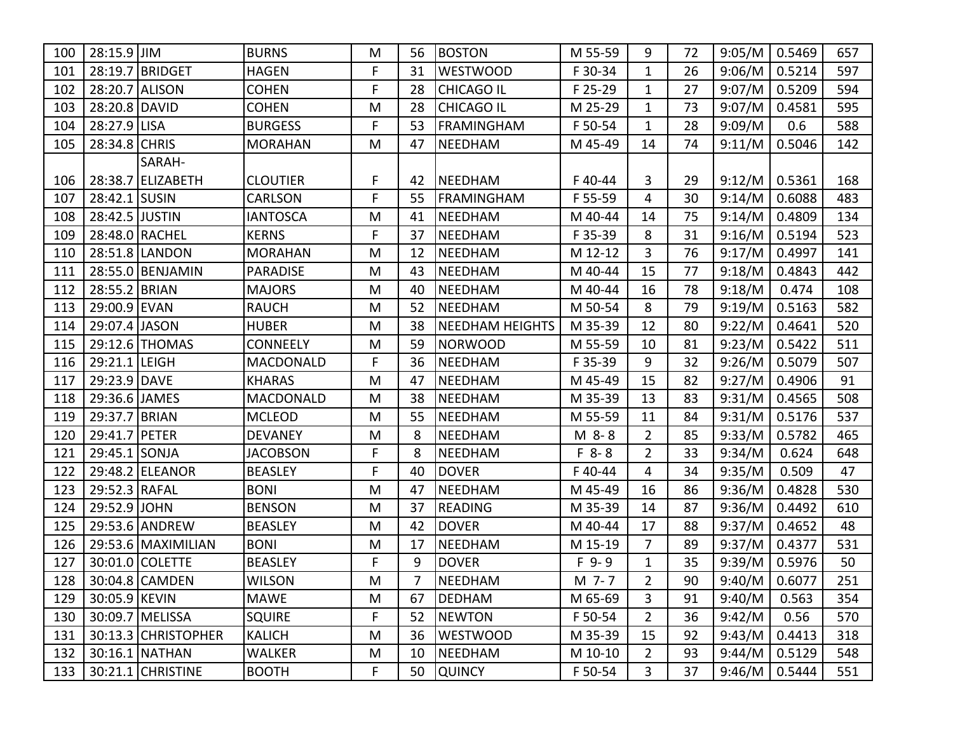| 100 | 28:15.9 JJIM   |                      | <b>BURNS</b>     | M  | 56             | <b>BOSTON</b>          | M 55-59   | 9              | 72     | 9:05/M          | 0.5469 | 657 |
|-----|----------------|----------------------|------------------|----|----------------|------------------------|-----------|----------------|--------|-----------------|--------|-----|
| 101 |                | 28:19.7 BRIDGET      | <b>HAGEN</b>     | F. | 31             | <b>WESTWOOD</b>        | F 30-34   | $\mathbf{1}$   | 26     | 9:06/M          | 0.5214 | 597 |
| 102 | 28:20.7        | <b>ALISON</b>        | <b>COHEN</b>     | F  | 28             | <b>CHICAGO IL</b>      | F 25-29   | $\mathbf{1}$   | 27     | 9:07/M          | 0.5209 | 594 |
| 103 | 28:20.8 DAVID  |                      | <b>COHEN</b>     | M  | 28             | <b>CHICAGO IL</b>      | M 25-29   | $\mathbf{1}$   | 73     | 9:07/M          | 0.4581 | 595 |
| 104 | 28:27.9 LISA   |                      | <b>BURGESS</b>   | F  | 53             | FRAMINGHAM             | F 50-54   | $\mathbf{1}$   | 28     | 9:09/M          | 0.6    | 588 |
| 105 | 28:34.8 CHRIS  |                      | <b>MORAHAN</b>   | M  | 47             | NEEDHAM                | M 45-49   | 14             | 74     | 9:11/M          | 0.5046 | 142 |
|     |                | SARAH-               |                  |    |                |                        |           |                |        |                 |        |     |
| 106 |                | 28:38.7 ELIZABETH    | <b>CLOUTIER</b>  | F  | 42             | NEEDHAM                | F40-44    | 3              | 29     | 9:12/M          | 0.5361 | 168 |
| 107 | 28:42.1 SUSIN  |                      | <b>CARLSON</b>   | F. | 55             | FRAMINGHAM             | F 55-59   | 4              | 30     | 9:14/M          | 0.6088 | 483 |
| 108 | 28:42.5 JUSTIN |                      | <b>IANTOSCA</b>  | M  | 41             | <b>NEEDHAM</b>         | M 40-44   | 14             | 75     | 9:14/M          | 0.4809 | 134 |
| 109 |                | 28:48.0 RACHEL       | <b>KERNS</b>     | F. | 37             | <b>NEEDHAM</b>         | F 35-39   | 8              | 31     | 9:16/M          | 0.5194 | 523 |
| 110 |                | 28:51.8 LANDON       | <b>MORAHAN</b>   | M  | 12             | NEEDHAM                | M 12-12   | 3              | 76     | 9:17/M          | 0.4997 | 141 |
| 111 |                | 28:55.0   BENJAMIN   | <b>PARADISE</b>  | M  | 43             | <b>NEEDHAM</b>         | M 40-44   | 15             | 77     | 9:18/M          | 0.4843 | 442 |
| 112 | 28:55.2 BRIAN  |                      | <b>MAJORS</b>    | M  | 40             | <b>NEEDHAM</b>         | M 40-44   | 16             | 78     | 9:18/M          | 0.474  | 108 |
| 113 | 29:00.9 EVAN   |                      | <b>RAUCH</b>     | M  | 52             | <b>NEEDHAM</b>         | M 50-54   | 8              | 79     | 9:19/M          | 0.5163 | 582 |
| 114 | 29:07.4 JASON  |                      | <b>HUBER</b>     | M  | 38             | <b>NEEDHAM HEIGHTS</b> | M 35-39   | 12             | 80     | 9:22/M          | 0.4641 | 520 |
| 115 |                | 29:12.6 THOMAS       | <b>CONNEELY</b>  | M  | 59             | <b>NORWOOD</b>         | M 55-59   | 10             | 81     | 9:23/M          | 0.5422 | 511 |
| 116 | 29:21.1 LEIGH  |                      | <b>MACDONALD</b> | F  | 36             | <b>NEEDHAM</b>         | F 35-39   | 9              | 32     | 9:26/M          | 0.5079 | 507 |
| 117 | 29:23.9 DAVE   |                      | <b>KHARAS</b>    | M  | 47             | <b>NEEDHAM</b>         | M 45-49   | 15             | 82     | 9:27/M          | 0.4906 | 91  |
| 118 | 29:36.6 JAMES  |                      | <b>MACDONALD</b> | M  | 38             | <b>NEEDHAM</b>         | M 35-39   | 13             | 83     | 9:31/M          | 0.4565 | 508 |
| 119 | 29:37.7        | BRIAN                | <b>MCLEOD</b>    | M  | 55             | <b>NEEDHAM</b>         | M 55-59   | 11             | 84     | 9:31/M          | 0.5176 | 537 |
| 120 | 29:41.7        | <b>PETER</b>         | <b>DEVANEY</b>   | M  | 8              | NEEDHAM                | M 8-8     | $\overline{2}$ | 85     | 9:33/M          | 0.5782 | 465 |
| 121 | 29:45.1 SONJA  |                      | <b>JACOBSON</b>  | F  | 8              | NEEDHAM                | $F 8 - 8$ | 2              | 33     | 9:34/M          | 0.624  | 648 |
| 122 |                | 29:48.2 ELEANOR      | <b>BEASLEY</b>   | F  | 40             | <b>DOVER</b>           | F40-44    | 4              | 34     | 9:35/M          | 0.509  | 47  |
| 123 | 29:52.3 RAFAL  |                      | <b>BONI</b>      | M  | 47             | <b>NEEDHAM</b>         | M 45-49   | 16             | 86     | 9:36/M          | 0.4828 | 530 |
| 124 | 29:52.9 JOHN   |                      | <b>BENSON</b>    | M  | 37             | <b>READING</b>         | M 35-39   | 14             | 87     | 9:36/M          | 0.4492 | 610 |
| 125 |                | 29:53.6 ANDREW       | <b>BEASLEY</b>   | M  | 42             | <b>DOVER</b>           | M 40-44   | 17             | 88     | 9:37/M          | 0.4652 | 48  |
| 126 |                | 29:53.6   MAXIMILIAN | <b>BONI</b>      | M  | 17             | <b>NEEDHAM</b>         | M 15-19   | $\overline{7}$ | 89     | 9:37/M          | 0.4377 | 531 |
| 127 |                | 30:01.0 COLETTE      | <b>BEASLEY</b>   | F  | 9              | <b>DOVER</b>           | $F$ 9-9   | $\mathbf{1}$   | 35     | 9:39/M          | 0.5976 | 50  |
|     |                | 128 30:04.8 CAMDEN   | <b>WILSON</b>    | M  | $\overline{7}$ | NEEDHAM                | M 7-7     | $\overline{2}$ | $90\,$ | $9:40/M$ 0.6077 |        | 251 |
| 129 | 30:05.9 KEVIN  |                      | <b>MAWE</b>      | M  | 67             | DEDHAM                 | M 65-69   | 3              | 91     | 9:40/M          | 0.563  | 354 |
| 130 |                | 30:09.7 MELISSA      | <b>SQUIRE</b>    | F  | 52             | <b>NEWTON</b>          | F 50-54   | $\overline{2}$ | 36     | 9:42/M          | 0.56   | 570 |
| 131 |                | 30:13.3 CHRISTOPHER  | <b>KALICH</b>    | M  | 36             | WESTWOOD               | M 35-39   | 15             | 92     | $9:43/M$ 0.4413 |        | 318 |
| 132 |                | 30:16.1 NATHAN       | <b>WALKER</b>    | M  | 10             | NEEDHAM                | M 10-10   | $\mathbf{2}$   | 93     | $9:44/M$ 0.5129 |        | 548 |
| 133 |                | 30:21.1 CHRISTINE    | <b>BOOTH</b>     | F. | 50             | <b>QUINCY</b>          | F 50-54   | 3              | 37     | 9:46/M          | 0.5444 | 551 |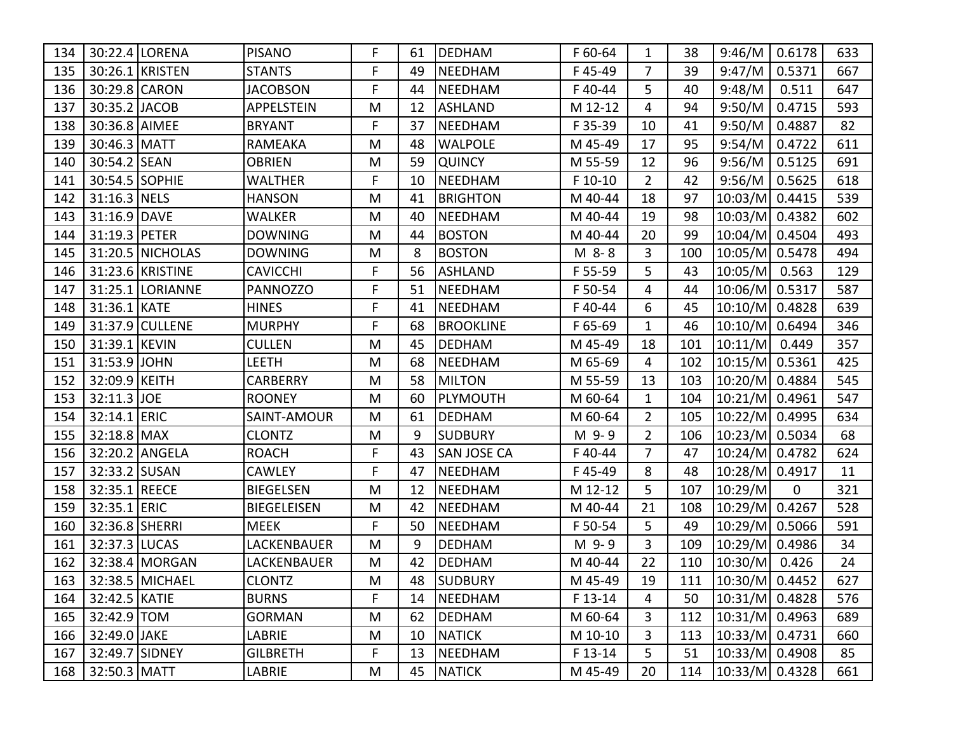| 134 |                 | 30:22.4 LORENA      | <b>PISANO</b>      | F  | 61 | <b>DEDHAM</b>      | F 60-64 | 1              | 38  | 9:46/M                 | 0.6178      | 633 |
|-----|-----------------|---------------------|--------------------|----|----|--------------------|---------|----------------|-----|------------------------|-------------|-----|
| 135 |                 | 30:26.1 KRISTEN     | <b>STANTS</b>      | F  | 49 | <b>NEEDHAM</b>     | F45-49  | 7              | 39  | 9:47/M                 | 0.5371      | 667 |
| 136 | 30:29.8 CARON   |                     | <b>JACOBSON</b>    | F  | 44 | <b>NEEDHAM</b>     | F40-44  | 5              | 40  | 9:48/M                 | 0.511       | 647 |
| 137 | 30:35.2 JACOB   |                     | APPELSTEIN         | M  | 12 | <b>ASHLAND</b>     | M 12-12 | 4              | 94  | 9:50/M                 | 0.4715      | 593 |
| 138 | 30:36.8 AIMEE   |                     | <b>BRYANT</b>      | F  | 37 | <b>NEEDHAM</b>     | F 35-39 | 10             | 41  | 9:50/M                 | 0.4887      | 82  |
| 139 | 30:46.3 MATT    |                     | RAMEAKA            | M  | 48 | <b>WALPOLE</b>     | M 45-49 | 17             | 95  | 9:54/M                 | 0.4722      | 611 |
| 140 | 30:54.2 SEAN    |                     | <b>OBRIEN</b>      | M  | 59 | <b>QUINCY</b>      | M 55-59 | 12             | 96  | 9:56/M                 | 0.5125      | 691 |
| 141 | 30:54.5 SOPHIE  |                     | WALTHER            | F  | 10 | <b>NEEDHAM</b>     | F 10-10 | $\overline{2}$ | 42  | 9:56/M                 | 0.5625      | 618 |
| 142 | 31:16.3 NELS    |                     | <b>HANSON</b>      | M  | 41 | <b>BRIGHTON</b>    | M 40-44 | 18             | 97  | 10:03/M 0.4415         |             | 539 |
| 143 | 31:16.9 DAVE    |                     | <b>WALKER</b>      | M  | 40 | <b>NEEDHAM</b>     | M 40-44 | 19             | 98  | 10:03/M 0.4382         |             | 602 |
| 144 | 31:19.3 PETER   |                     | <b>DOWNING</b>     | M  | 44 | <b>BOSTON</b>      | M 40-44 | 20             | 99  | 10:04/M 0.4504         |             | 493 |
| 145 |                 | 31:20.5 NICHOLAS    | <b>DOWNING</b>     | M  | 8  | <b>BOSTON</b>      | M 8-8   | 3              | 100 | 10:05/M 0.5478         |             | 494 |
| 146 |                 | 31:23.6 KRISTINE    | <b>CAVICCHI</b>    | F. | 56 | <b>ASHLAND</b>     | F 55-59 | 5              | 43  | $10:05/M$ 0.563        |             | 129 |
| 147 |                 | 31:25.1   LORIANNE  | PANNOZZO           | F  | 51 | NEEDHAM            | F 50-54 | 4              | 44  | 10:06/M 0.5317         |             | 587 |
| 148 | 31:36.1 KATE    |                     | <b>HINES</b>       | F  | 41 | <b>NEEDHAM</b>     | F40-44  | 6              | 45  | 10:10/M 0.4828         |             | 639 |
| 149 |                 | 31:37.9 CULLENE     | <b>MURPHY</b>      | F  | 68 | <b>BROOKLINE</b>   | F 65-69 | $\mathbf{1}$   | 46  | 10:10/M 0.6494         |             | 346 |
| 150 | 31:39.1 KEVIN   |                     | <b>CULLEN</b>      | M  | 45 | <b>DEDHAM</b>      | M 45-49 | 18             | 101 | $10:11/M$ 0.449        |             | 357 |
| 151 | 31:53.9 JOHN    |                     | LEETH              | M  | 68 | <b>NEEDHAM</b>     | M 65-69 | 4              | 102 | 10:15/M 0.5361         |             | 425 |
| 152 | 32:09.9 KEITH   |                     | <b>CARBERRY</b>    | M  | 58 | <b>MILTON</b>      | M 55-59 | 13             | 103 | 10:20/M 0.4884         |             | 545 |
| 153 | 32:11.3 JOE     |                     | <b>ROONEY</b>      | M  | 60 | PLYMOUTH           | M 60-64 | 1              | 104 | $10:21/M$ 0.4961       |             | 547 |
| 154 | 32:14.1 ERIC    |                     | SAINT-AMOUR        | M  | 61 | <b>DEDHAM</b>      | M 60-64 | $\overline{2}$ | 105 | 10:22/M 0.4995         |             | 634 |
| 155 | $32:18.8$ MAX   |                     | <b>CLONTZ</b>      | M  | 9  | <b>SUDBURY</b>     | M 9-9   | 2              | 106 | $10:23/M$ 0.5034       |             | 68  |
| 156 |                 | 32:20.2 ANGELA      | <b>ROACH</b>       | F  | 43 | <b>SAN JOSE CA</b> | F40-44  | $\overline{7}$ | 47  | 10:24/M 0.4782         |             | 624 |
| 157 | 32:33.2 SUSAN   |                     | <b>CAWLEY</b>      | F  | 47 | <b>NEEDHAM</b>     | F45-49  | 8              | 48  | 10:28/M 0.4917         |             | 11  |
| 158 | 32:35.1 REECE   |                     | <b>BIEGELSEN</b>   | M  | 12 | <b>NEEDHAM</b>     | M 12-12 | 5              | 107 | 10:29/M                | $\mathbf 0$ | 321 |
| 159 | 32:35.1 ERIC    |                     | <b>BIEGELEISEN</b> | M  | 42 | NEEDHAM            | M 40-44 | 21             | 108 | 10:29/M 0.4267         |             | 528 |
| 160 | 32:36.8 SHERRI  |                     | <b>MEEK</b>        | F  | 50 | <b>NEEDHAM</b>     | F 50-54 | 5              | 49  | 10:29/M 0.5066         |             | 591 |
| 161 | 32:37.3 LUCAS   |                     | LACKENBAUER        | M  | 9  | <b>DEDHAM</b>      | M 9-9   | 3              | 109 | 10:29/M 0.4986         |             | 34  |
| 162 |                 | 32:38.4 MORGAN      | LACKENBAUER        | M  | 42 | <b>DEDHAM</b>      | M 40-44 | 22             | 110 | 10:30/M 0.426          |             | 24  |
|     |                 | 163 32:38.5 MICHAEL | <b>CLONTZ</b>      | M  | 48 | <b>SUDBURY</b>     | M 45-49 | 19             |     | 111   10:30/M   0.4452 |             | 627 |
| 164 | 32:42.5   KATIE |                     | <b>BURNS</b>       | F. | 14 | <b>NEEDHAM</b>     | F 13-14 | 4              | 50  | $ 10:31/M $ 0.4828     |             | 576 |
| 165 | 32:42.9 TOM     |                     | <b>GORMAN</b>      | M  | 62 | DEDHAM             | M 60-64 | 3              |     | 112   10:31/M   0.4963 |             | 689 |
| 166 | 32:49.0 JAKE    |                     | LABRIE             | M  | 10 | NATICK             | M 10-10 | 3              |     | 113   10:33/M   0.4731 |             | 660 |
| 167 | 32:49.7 SIDNEY  |                     | <b>GILBRETH</b>    | F. | 13 | NEEDHAM            | F 13-14 | 5              |     | 51   10:33/M   0.4908  |             | 85  |
| 168 | 32:50.3 MATT    |                     | LABRIE             | M  |    | 45   NATICK        | M 45-49 | 20             |     | 114   10:33/M   0.4328 |             | 661 |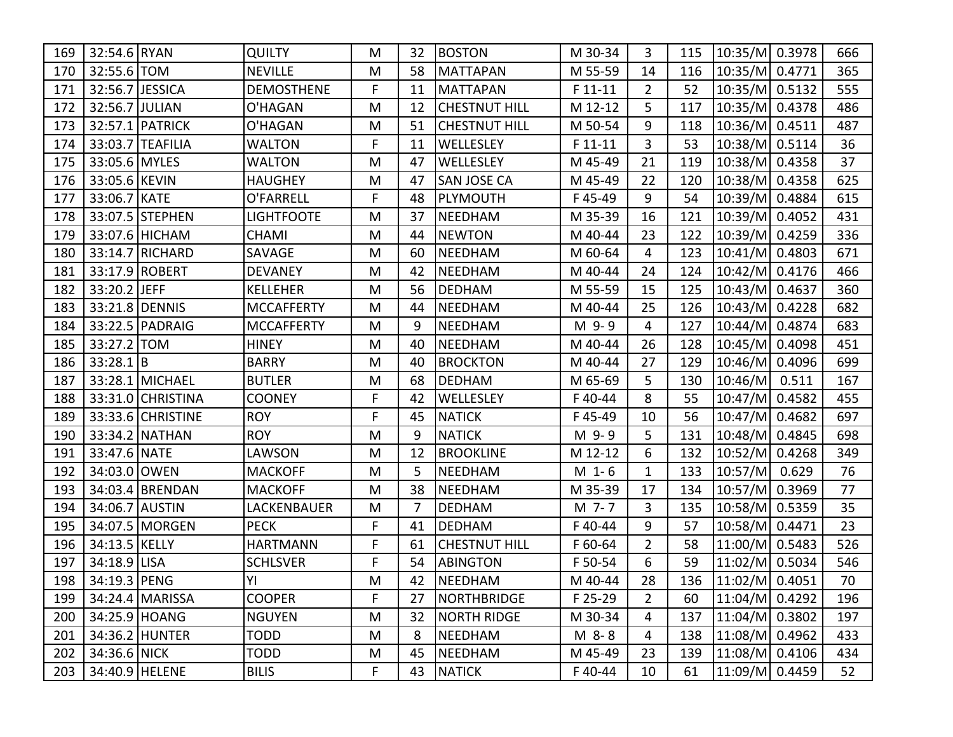| 169 | 32:54.6 RYAN     |                   | <b>QUILTY</b>     | M  | 32 | <b>BOSTON</b>        | M 30-34   | 3              | 115 | 10:35/M 0.3978         |       | 666 |
|-----|------------------|-------------------|-------------------|----|----|----------------------|-----------|----------------|-----|------------------------|-------|-----|
| 170 | 32:55.6 TOM      |                   | <b>NEVILLE</b>    | M  | 58 | <b>MATTAPAN</b>      | M 55-59   | 14             | 116 | 10:35/M 0.4771         |       | 365 |
| 171 | 32:56.7 JESSICA  |                   | <b>DEMOSTHENE</b> | F  | 11 | <b>MATTAPAN</b>      | $F 11-11$ | $\overline{2}$ | 52  | 10:35/M 0.5132         |       | 555 |
| 172 | 32:56.7 JULIAN   |                   | O'HAGAN           | M  | 12 | <b>CHESTNUT HILL</b> | M 12-12   | 5              | 117 | 10:35/M 0.4378         |       | 486 |
| 173 |                  | 32:57.1   PATRICK | O'HAGAN           | M  | 51 | <b>CHESTNUT HILL</b> | M 50-54   | 9              | 118 | 10:36/M 0.4511         |       | 487 |
| 174 |                  | 33:03.7 TEAFILIA  | <b>WALTON</b>     | F  | 11 | WELLESLEY            | $F11-11$  | 3              | 53  | 10:38/M 0.5114         |       | 36  |
| 175 | 33:05.6 MYLES    |                   | <b>WALTON</b>     | M  | 47 | WELLESLEY            | M 45-49   | 21             | 119 | 10:38/M 0.4358         |       | 37  |
| 176 | 33:05.6 KEVIN    |                   | <b>HAUGHEY</b>    | M  | 47 | <b>SAN JOSE CA</b>   | M 45-49   | 22             | 120 | 10:38/M 0.4358         |       | 625 |
| 177 | 33:06.7 KATE     |                   | O'FARRELL         | F. | 48 | PLYMOUTH             | F45-49    | 9              | 54  | 10:39/M 0.4884         |       | 615 |
| 178 |                  | 33:07.5 STEPHEN   | LIGHTFOOTE        | M  | 37 | <b>NEEDHAM</b>       | M 35-39   | 16             | 121 | 10:39/M 0.4052         |       | 431 |
| 179 |                  | 33:07.6 HICHAM    | <b>CHAMI</b>      | M  | 44 | <b>NEWTON</b>        | M 40-44   | 23             | 122 | 10:39/M 0.4259         |       | 336 |
| 180 |                  | 33:14.7 RICHARD   | SAVAGE            | M  | 60 | <b>NEEDHAM</b>       | M 60-64   | 4              | 123 | 10:41/M 0.4803         |       | 671 |
| 181 |                  | 33:17.9 ROBERT    | <b>DEVANEY</b>    | M  | 42 | NEEDHAM              | M 40-44   | 24             | 124 | 10:42/M 0.4176         |       | 466 |
| 182 | 33:20.2 JEFF     |                   | <b>KELLEHER</b>   | M  | 56 | <b>DEDHAM</b>        | M 55-59   | 15             | 125 | 10:43/M 0.4637         |       | 360 |
| 183 |                  | 33:21.8 DENNIS    | <b>MCCAFFERTY</b> | M  | 44 | <b>NEEDHAM</b>       | M 40-44   | 25             | 126 | 10:43/M 0.4228         |       | 682 |
| 184 |                  | 33:22.5 PADRAIG   | <b>MCCAFFERTY</b> | M  | 9  | NEEDHAM              | M 9-9     | 4              | 127 | 10:44/M 0.4874         |       | 683 |
| 185 | 33:27.2 TOM      |                   | <b>HINEY</b>      | M  | 40 | <b>NEEDHAM</b>       | M 40-44   | 26             | 128 | 10:45/M 0.4098         |       | 451 |
| 186 | 33:28.1 B        |                   | <b>BARRY</b>      | M  | 40 | <b>BROCKTON</b>      | M 40-44   | 27             | 129 | 10:46/M 0.4096         |       | 699 |
| 187 |                  | 33:28.1 MICHAEL   | <b>BUTLER</b>     | M  | 68 | <b>DEDHAM</b>        | M 65-69   | 5              | 130 | $10:46/M$ 0.511        |       | 167 |
| 188 |                  | 33:31.0 CHRISTINA | <b>COONEY</b>     | F  | 42 | WELLESLEY            | F40-44    | 8              | 55  | 10:47/M 0.4582         |       | 455 |
| 189 |                  | 33:33.6 CHRISTINE | <b>ROY</b>        | F  | 45 | <b>NATICK</b>        | F45-49    | 10             | 56  | 10:47/M 0.4682         |       | 697 |
| 190 |                  | 33:34.2 NATHAN    | <b>ROY</b>        | M  | 9  | <b>NATICK</b>        | M 9-9     | 5              | 131 | 10:48/M 0.4845         |       | 698 |
| 191 | 33:47.6 NATE     |                   | LAWSON            | M  | 12 | <b>BROOKLINE</b>     | M 12-12   | 6              | 132 | 10:52/M 0.4268         |       | 349 |
| 192 | 34:03.0 OWEN     |                   | <b>MACKOFF</b>    | M  | 5  | <b>NEEDHAM</b>       | $M_1 - 6$ | 1              | 133 | 10:57/M                | 0.629 | 76  |
| 193 |                  | 34:03.4 BRENDAN   | <b>MACKOFF</b>    | M  | 38 | <b>NEEDHAM</b>       | M 35-39   | 17             | 134 | 10:57/M 0.3969         |       | 77  |
| 194 | 34:06.7 AUSTIN   |                   | LACKENBAUER       | M  | 7  | <b>DEDHAM</b>        | M 7-7     | 3              | 135 | 10:58/M 0.5359         |       | 35  |
| 195 |                  | 34:07.5 MORGEN    | <b>PECK</b>       | F  | 41 | <b>DEDHAM</b>        | F40-44    | 9              | 57  | 10:58/M 0.4471         |       | 23  |
| 196 | 34:13.5 KELLY    |                   | <b>HARTMANN</b>   | F  | 61 | <b>CHESTNUT HILL</b> | F 60-64   | 2              | 58  | 11:00/M 0.5483         |       | 526 |
| 197 | 34:18.9 LISA     |                   | <b>SCHLSVER</b>   | F  | 54 | ABINGTON             | F 50-54   | 6              | 59  | 11:02/M 0.5034         |       | 546 |
|     | 198 34:19.3 PENG |                   | <b>YI</b>         | M  |    | 42  NEEDHAM          | M 40-44   | 28             |     | 136   11:02/M   0.4051 |       | 70  |
| 199 |                  | 34:24.4   MARISSA | <b>COOPER</b>     | F. | 27 | <b>NORTHBRIDGE</b>   | F 25-29   | $\overline{2}$ | 60  | $ 11:04/M $ 0.4292     |       | 196 |
| 200 |                  | 34:25.9 HOANG     | <b>NGUYEN</b>     | M  | 32 | <b>NORTH RIDGE</b>   | M 30-34   | 4              | 137 | 11:04/M 0.3802         |       | 197 |
| 201 |                  | 34:36.2 HUNTER    | <b>TODD</b>       | M  | 8  | NEEDHAM              | M 8-8     | 4              | 138 | 11:08/M  0.4962        |       | 433 |
| 202 | 34:36.6 NICK     |                   | <b>TODD</b>       | M  | 45 | NEEDHAM              | M 45-49   | 23             | 139 | 11:08/M 0.4106         |       | 434 |
| 203 |                  | 34:40.9 HELENE    | <b>BILIS</b>      | F. | 43 | <b>NATICK</b>        | F40-44    | 10             | 61  | 11:09/M 0.4459         |       | 52  |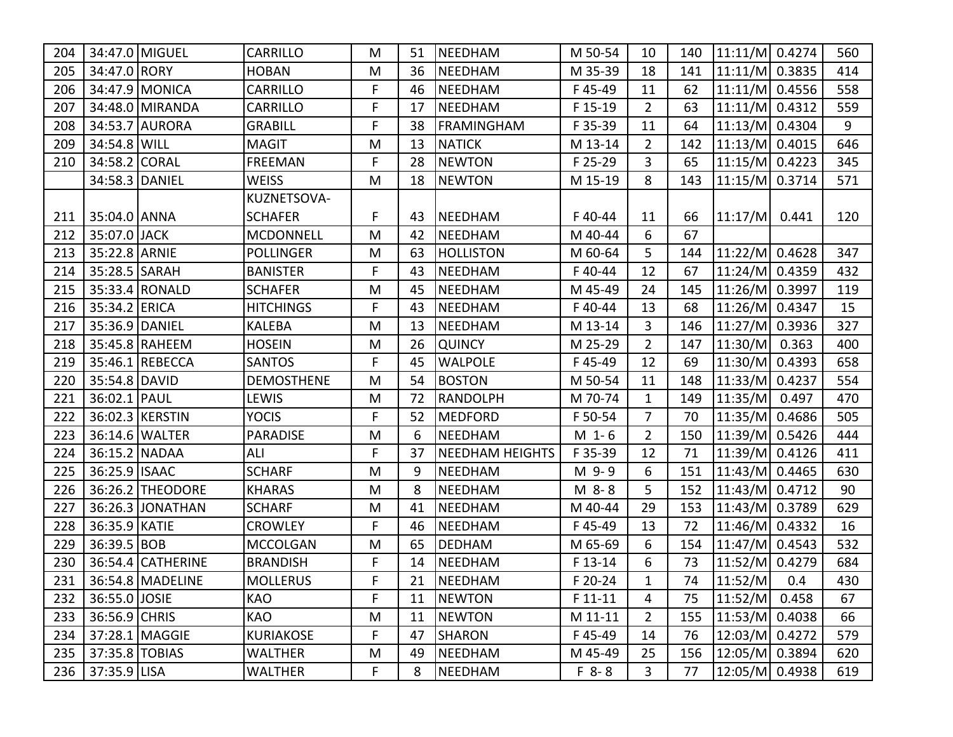| 204 |                 | 34:47.0 MIGUEL       | <b>CARRILLO</b>   | M  | 51 | NEEDHAM                | M 50-54   | 10             | 140 | $11:11/M$ 0.4274       |       | 560 |
|-----|-----------------|----------------------|-------------------|----|----|------------------------|-----------|----------------|-----|------------------------|-------|-----|
| 205 | 34:47.0 RORY    |                      | <b>HOBAN</b>      | M  | 36 | NEEDHAM                | M 35-39   | 18             | 141 | $11:11/M$ 0.3835       |       | 414 |
| 206 |                 | 34:47.9 MONICA       | <b>CARRILLO</b>   | F  | 46 | <b>NEEDHAM</b>         | F45-49    | 11             | 62  | 11:11/M 0.4556         |       | 558 |
| 207 |                 | 34:48.0 MIRANDA      | <b>CARRILLO</b>   | F. | 17 | NEEDHAM                | F 15-19   | $\overline{2}$ | 63  | $11:11/M$ 0.4312       |       | 559 |
| 208 |                 | 34:53.7 AURORA       | <b>GRABILL</b>    | F  | 38 | <b>FRAMINGHAM</b>      | F 35-39   | 11             | 64  | $11:13/M$ 0.4304       |       | 9   |
| 209 | 34:54.8 WILL    |                      | <b>MAGIT</b>      | M  | 13 | <b>NATICK</b>          | M 13-14   | $\overline{2}$ | 142 | 11:13/M 0.4015         |       | 646 |
| 210 | 34:58.2 CORAL   |                      | <b>FREEMAN</b>    | F  | 28 | <b>NEWTON</b>          | F 25-29   | 3              | 65  | 11:15/M 0.4223         |       | 345 |
|     |                 | 34:58.3 DANIEL       | <b>WEISS</b>      | M  | 18 | <b>NEWTON</b>          | M 15-19   | 8              | 143 | 11:15/M 0.3714         |       | 571 |
|     |                 |                      | KUZNETSOVA-       |    |    |                        |           |                |     |                        |       |     |
| 211 | 35:04.0 ANNA    |                      | <b>SCHAFER</b>    | F  | 43 | NEEDHAM                | F40-44    | 11             | 66  | 11:17/M                | 0.441 | 120 |
| 212 | 35:07.0 JACK    |                      | <b>MCDONNELL</b>  | M  | 42 | <b>NEEDHAM</b>         | M 40-44   | 6              | 67  |                        |       |     |
| 213 | 35:22.8 ARNIE   |                      | <b>POLLINGER</b>  | M  | 63 | <b>HOLLISTON</b>       | M 60-64   | 5              | 144 | 11:22/M 0.4628         |       | 347 |
| 214 | 35:28.5 SARAH   |                      | <b>BANISTER</b>   | F  | 43 | <b>NEEDHAM</b>         | F40-44    | 12             | 67  | 11:24/M 0.4359         |       | 432 |
| 215 |                 | 35:33.4 RONALD       | <b>SCHAFER</b>    | M  | 45 | NEEDHAM                | M 45-49   | 24             | 145 | 11:26/M 0.3997         |       | 119 |
| 216 | 35:34.2 ERICA   |                      | <b>HITCHINGS</b>  | F  | 43 | <b>NEEDHAM</b>         | F40-44    | 13             | 68  | 11:26/M 0.4347         |       | 15  |
| 217 | 35:36.9 DANIEL  |                      | <b>KALEBA</b>     | M  | 13 | <b>NEEDHAM</b>         | M 13-14   | 3              | 146 | 11:27/M 0.3936         |       | 327 |
| 218 |                 | 35:45.8 RAHEEM       | <b>HOSEIN</b>     | M  | 26 | <b>QUINCY</b>          | M 25-29   | $\overline{2}$ | 147 | $11:30/M$ 0.363        |       | 400 |
| 219 |                 | 35:46.1 REBECCA      | <b>SANTOS</b>     | F  | 45 | <b>WALPOLE</b>         | F45-49    | 12             | 69  | 11:30/M 0.4393         |       | 658 |
| 220 | 35:54.8 DAVID   |                      | <b>DEMOSTHENE</b> | M  | 54 | <b>BOSTON</b>          | M 50-54   | 11             | 148 | 11:33/M 0.4237         |       | 554 |
| 221 | 36:02.1   PAUL  |                      | LEWIS             | M  | 72 | RANDOLPH               | M 70-74   | 1              | 149 | $11:35/M$ 0.497        |       | 470 |
| 222 |                 | 36:02.3 KERSTIN      | <b>YOCIS</b>      | F  | 52 | MEDFORD                | F 50-54   | 7              | 70  | 11:35/M 0.4686         |       | 505 |
| 223 |                 | 36:14.6 WALTER       | <b>PARADISE</b>   | M  | 6  | <b>NEEDHAM</b>         | $M_1 - 6$ | $\overline{2}$ | 150 | $11:39/M$ 0.5426       |       | 444 |
| 224 | 36:15.2 NADAA   |                      | ALI               | F  | 37 | <b>NEEDHAM HEIGHTS</b> | F 35-39   | 12             | 71  | 11:39/M 0.4126         |       | 411 |
| 225 | 36:25.9   ISAAC |                      | <b>SCHARF</b>     | M  | 9  | NEEDHAM                | M 9-9     | 6              | 151 | 11:43/M 0.4465         |       | 630 |
| 226 |                 | 36:26.2 THEODORE     | <b>KHARAS</b>     | M  | 8  | <b>NEEDHAM</b>         | M 8-8     | 5              | 152 | 11:43/M 0.4712         |       | 90  |
| 227 |                 | 36:26.3 JONATHAN     | <b>SCHARF</b>     | M  | 41 | NEEDHAM                | M 40-44   | 29             | 153 | 11:43/M 0.3789         |       | 629 |
| 228 | 36:35.9 KATIE   |                      | <b>CROWLEY</b>    | F  | 46 | NEEDHAM                | F45-49    | 13             | 72  | 11:46/M 0.4332         |       | 16  |
| 229 | 36:39.5 BOB     |                      | <b>MCCOLGAN</b>   | M  | 65 | <b>DEDHAM</b>          | M 65-69   | 6              | 154 | 11:47/M 0.4543         |       | 532 |
| 230 |                 | 36:54.4 CATHERINE    | <b>BRANDISH</b>   | F  | 14 | NEEDHAM                | F 13-14   | 6              | 73  | 11:52/M  0.4279        |       | 684 |
|     |                 | 231 36:54.8 MADELINE | <b>MOLLERUS</b>   | F  |    | 21  NEEDHAM            | F 20-24   | $\mathbf{1}$   | 74  | $ 11:52/M $ 0.4        |       | 430 |
| 232 | 36:55.0 JOSIE   |                      | <b>KAO</b>        | F  | 11 | NEWTON                 | $F$ 11-11 | 4              | 75  | $ 11:52/M $ 0.458      |       | 67  |
| 233 | 36:56.9 CHRIS   |                      | KAO               | M  | 11 | <b>NEWTON</b>          | M 11-11   | $\overline{2}$ |     | 155   11:53/M   0.4038 |       | 66  |
| 234 |                 | 37:28.1   MAGGIE     | <b>KURIAKOSE</b>  | F  | 47 | SHARON                 | F45-49    | 14             | 76  | 12:03/M 0.4272         |       | 579 |
| 235 | 37:35.8 TOBIAS  |                      | <b>WALTHER</b>    | M  | 49 | NEEDHAM                | M 45-49   | 25             | 156 | 12:05/M 0.3894         |       | 620 |
| 236 | 37:35.9 LISA    |                      | <b>WALTHER</b>    | F. | 8  | NEEDHAM                | $F 8 - 8$ | 3              | 77  | 12:05/M 0.4938         |       | 619 |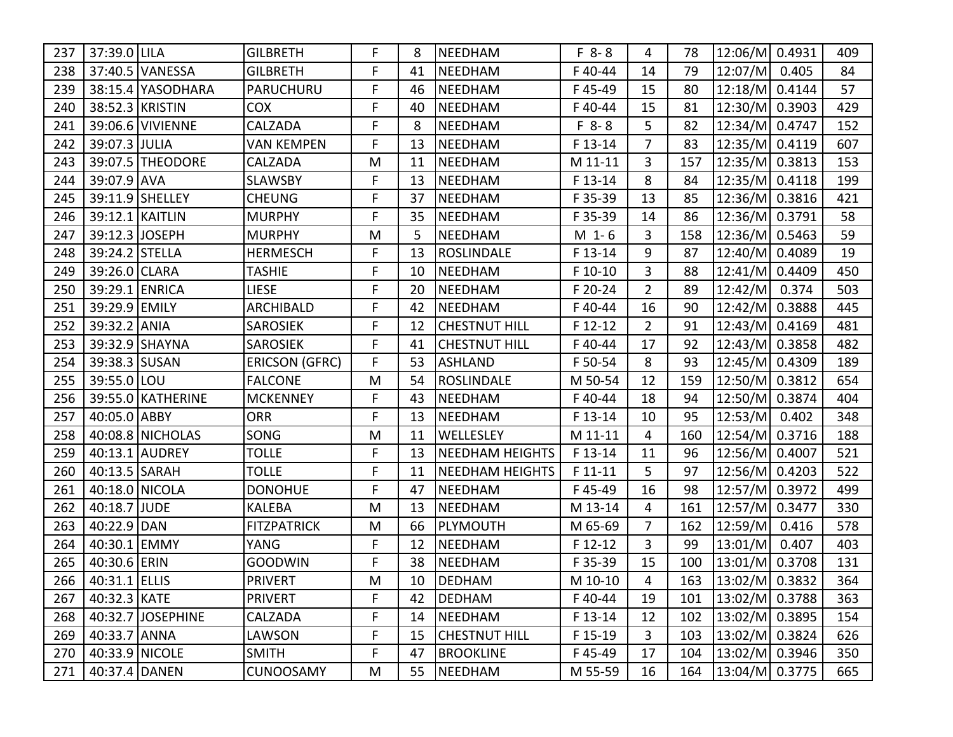| 237 | 37:39.0 LILA      |                   | <b>GILBRETH</b>       | F  | 8  | NEEDHAM                | $F 8 - 8$ | 4              | 78  | 12:06/M 0.4931     |       | 409 |
|-----|-------------------|-------------------|-----------------------|----|----|------------------------|-----------|----------------|-----|--------------------|-------|-----|
| 238 |                   | 37:40.5 VANESSA   | <b>GILBRETH</b>       | F  | 41 | <b>NEEDHAM</b>         | F40-44    | 14             | 79  | 12:07/M            | 0.405 | 84  |
| 239 |                   | 38:15.4 YASODHARA | PARUCHURU             | F  | 46 | <b>NEEDHAM</b>         | F45-49    | 15             | 80  | 12:18/M 0.4144     |       | 57  |
| 240 |                   | 38:52.3 KRISTIN   | <b>COX</b>            | F  | 40 | <b>NEEDHAM</b>         | F40-44    | 15             | 81  | 12:30/M 0.3903     |       | 429 |
| 241 |                   | 39:06.6 VIVIENNE  | <b>CALZADA</b>        | F  | 8  | <b>NEEDHAM</b>         | $F 8 - 8$ | 5              | 82  | 12:34/M 0.4747     |       | 152 |
| 242 | 39:07.3 JULIA     |                   | <b>VAN KEMPEN</b>     | F  | 13 | <b>NEEDHAM</b>         | F 13-14   | 7              | 83  | 12:35/M 0.4119     |       | 607 |
| 243 |                   | 39:07.5 THEODORE  | <b>CALZADA</b>        | M  | 11 | <b>NEEDHAM</b>         | M 11-11   | 3              | 157 | 12:35/M 0.3813     |       | 153 |
| 244 | 39:07.9 AVA       |                   | <b>SLAWSBY</b>        | F  | 13 | <b>NEEDHAM</b>         | F 13-14   | 8              | 84  | 12:35/M 0.4118     |       | 199 |
| 245 |                   | 39:11.9 SHELLEY   | <b>CHEUNG</b>         | F  | 37 | <b>NEEDHAM</b>         | F 35-39   | 13             | 85  | 12:36/M 0.3816     |       | 421 |
| 246 |                   | 39:12.1 KAITLIN   | <b>MURPHY</b>         | F  | 35 | <b>NEEDHAM</b>         | F 35-39   | 14             | 86  | 12:36/M 0.3791     |       | 58  |
| 247 | 39:12.3           | <b>JOSEPH</b>     | <b>MURPHY</b>         | M  | 5  | <b>NEEDHAM</b>         | $M_1 - 6$ | 3              | 158 | 12:36/M 0.5463     |       | 59  |
| 248 | 39:24.2 STELLA    |                   | <b>HERMESCH</b>       | F  | 13 | <b>ROSLINDALE</b>      | F 13-14   | 9              | 87  | 12:40/M 0.4089     |       | 19  |
| 249 | 39:26.0 CLARA     |                   | <b>TASHIE</b>         | F  | 10 | <b>NEEDHAM</b>         | F 10-10   | 3              | 88  | 12:41/M 0.4409     |       | 450 |
| 250 | 39:29.1 ENRICA    |                   | <b>LIESE</b>          | F  | 20 | <b>NEEDHAM</b>         | F 20-24   | $\overline{2}$ | 89  | 12:42/M            | 0.374 | 503 |
| 251 | 39:29.9 EMILY     |                   | <b>ARCHIBALD</b>      | F  | 42 | <b>NEEDHAM</b>         | F40-44    | 16             | 90  | 12:42/M 0.3888     |       | 445 |
| 252 | 39:32.2 ANIA      |                   | <b>SAROSIEK</b>       | F  | 12 | <b>CHESTNUT HILL</b>   | F 12-12   | $\overline{2}$ | 91  | 12:43/M 0.4169     |       | 481 |
| 253 |                   | 39:32.9 SHAYNA    | <b>SAROSIEK</b>       | F  | 41 | <b>CHESTNUT HILL</b>   | F40-44    | 17             | 92  | 12:43/M 0.3858     |       | 482 |
| 254 | 39:38.3 SUSAN     |                   | <b>ERICSON (GFRC)</b> | F  | 53 | ASHLAND                | F 50-54   | 8              | 93  | 12:45/M 0.4309     |       | 189 |
| 255 | 39:55.0 LOU       |                   | <b>FALCONE</b>        | M  | 54 | ROSLINDALE             | M 50-54   | 12             | 159 | 12:50/M 0.3812     |       | 654 |
| 256 |                   | 39:55.0 KATHERINE | <b>MCKENNEY</b>       | F  | 43 | <b>NEEDHAM</b>         | F40-44    | 18             | 94  | 12:50/M 0.3874     |       | 404 |
| 257 | 40:05.0 ABBY      |                   | <b>ORR</b>            | F  | 13 | NEEDHAM                | F 13-14   | 10             | 95  | 12:53/M            | 0.402 | 348 |
| 258 |                   | 40:08.8 NICHOLAS  | SONG                  | M  | 11 | <b>WELLESLEY</b>       | M 11-11   | 4              | 160 | 12:54/M 0.3716     |       | 188 |
| 259 |                   | 40:13.1 AUDREY    | <b>TOLLE</b>          | F  | 13 | <b>NEEDHAM HEIGHTS</b> | F 13-14   | 11             | 96  | 12:56/M 0.4007     |       | 521 |
| 260 | 40:13.5 SARAH     |                   | <b>TOLLE</b>          | F  | 11 | <b>NEEDHAM HEIGHTS</b> | $F11-11$  | 5              | 97  | 12:56/M 0.4203     |       | 522 |
| 261 | 40:18.0 NICOLA    |                   | <b>DONOHUE</b>        | F  | 47 | <b>NEEDHAM</b>         | F45-49    | 16             | 98  | 12:57/M 0.3972     |       | 499 |
| 262 | 40:18.7 JUDE      |                   | <b>KALEBA</b>         | M  | 13 | NEEDHAM                | M 13-14   | 4              | 161 | 12:57/M 0.3477     |       | 330 |
| 263 | 40:22.9 DAN       |                   | <b>FITZPATRICK</b>    | M  | 66 | <b>PLYMOUTH</b>        | M 65-69   | $\overline{7}$ | 162 | 12:59/M            | 0.416 | 578 |
| 264 | 40:30.1 EMMY      |                   | <b>YANG</b>           | F  | 12 | <b>NEEDHAM</b>         | F 12-12   | 3              | 99  | 13:01/M            | 0.407 | 403 |
| 265 | 40:30.6 ERIN      |                   | <b>GOODWIN</b>        | F  | 38 | <b>NEEDHAM</b>         | F 35-39   | 15             | 100 | 13:01/M 0.3708     |       | 131 |
|     | 266 40:31.1 ELLIS |                   | <b>PRIVERT</b>        | M  | 10 | DEDHAM                 | M 10-10   | $\overline{4}$ | 163 | $ 13:02/M $ 0.3832 |       | 364 |
| 267 | 40:32.3 KATE      |                   | <b>PRIVERT</b>        | F. | 42 | DEDHAM                 | F40-44    | 19             | 101 | 13:02/M  0.3788    |       | 363 |
| 268 |                   | 40:32.7 JOSEPHINE | <b>CALZADA</b>        | F  | 14 | NEEDHAM                | F 13-14   | 12             | 102 | 13:02/M 0.3895     |       | 154 |
| 269 | 40:33.7 ANNA      |                   | LAWSON                | F  | 15 | CHESTNUT HILL          | F 15-19   | 3              | 103 | 13:02/M  0.3824    |       | 626 |
| 270 | 40:33.9 NICOLE    |                   | <b>SMITH</b>          | F  | 47 | <b>BROOKLINE</b>       | F45-49    | 17             | 104 | 13:02/M 0.3946     |       | 350 |
| 271 | 40:37.4 DANEN     |                   | <b>CUNOOSAMY</b>      | M  | 55 | NEEDHAM                | M 55-59   | 16             | 164 | 13:04/M 0.3775     |       | 665 |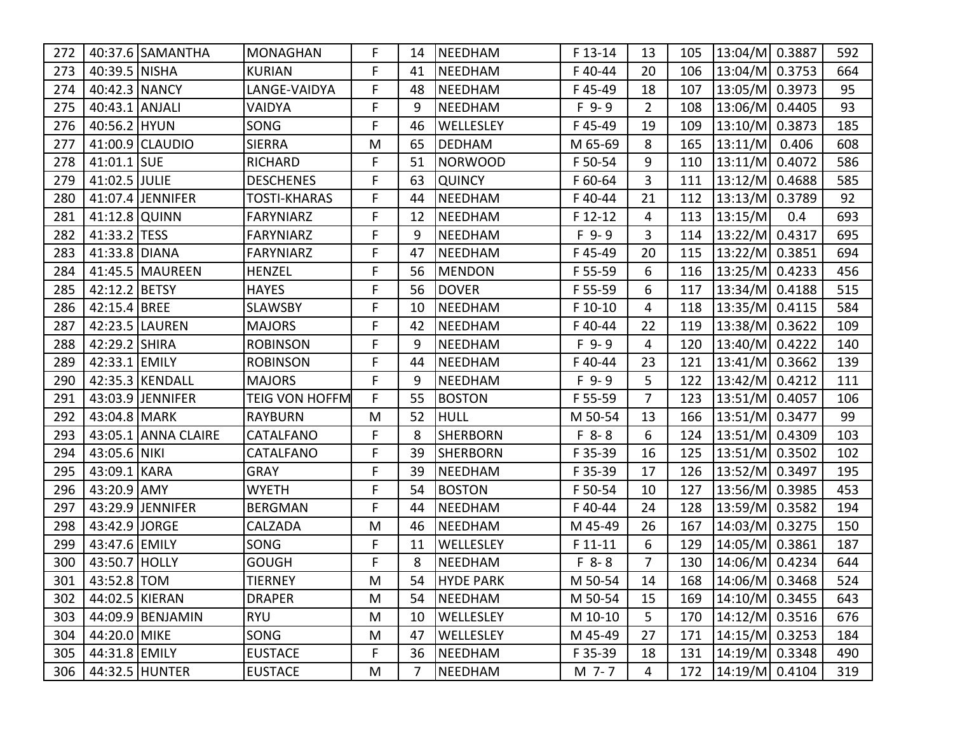| 272 |                | 40:37.6 SAMANTHA    | <b>MONAGHAN</b>       | F. | 14             | NEEDHAM          | F 13-14   | 13             | 105 | 13:04/M  0.3887        |     | 592 |
|-----|----------------|---------------------|-----------------------|----|----------------|------------------|-----------|----------------|-----|------------------------|-----|-----|
| 273 | 40:39.5 NISHA  |                     | <b>KURIAN</b>         | F  | 41             | NEEDHAM          | F40-44    | 20             | 106 | 13:04/M 0.3753         |     | 664 |
| 274 | 40:42.3 NANCY  |                     | LANGE-VAIDYA          | F  | 48             | NEEDHAM          | F45-49    | 18             | 107 | 13:05/M 0.3973         |     | 95  |
| 275 | 40:43.1 ANJALI |                     | <b>VAIDYA</b>         | F  | 9              | NEEDHAM          | $F$ 9-9   | $\overline{2}$ | 108 | 13:06/M 0.4405         |     | 93  |
| 276 | 40:56.2 HYUN   |                     | SONG                  | F  | 46             | WELLESLEY        | F45-49    | 19             | 109 | 13:10/M 0.3873         |     | 185 |
| 277 |                | 41:00.9 CLAUDIO     | <b>SIERRA</b>         | M  | 65             | DEDHAM           | M 65-69   | 8              | 165 | 13:11/M 0.406          |     | 608 |
| 278 | 41:01.1 SUE    |                     | <b>RICHARD</b>        | F. | 51             | NORWOOD          | F 50-54   | 9              | 110 | 13:11/M 0.4072         |     | 586 |
| 279 | 41:02.5 JULIE  |                     | <b>DESCHENES</b>      | F  | 63             | <b>QUINCY</b>    | F 60-64   | 3              | 111 | 13:12/M 0.4688         |     | 585 |
| 280 |                | 41:07.4 JENNIFER    | <b>TOSTI-KHARAS</b>   | F  | 44             | NEEDHAM          | F40-44    | 21             | 112 | 13:13/M 0.3789         |     | 92  |
| 281 | 41:12.8 QUINN  |                     | <b>FARYNIARZ</b>      | F  | 12             | NEEDHAM          | F 12-12   | 4              | 113 | 13:15/M                | 0.4 | 693 |
| 282 | 41:33.2 TESS   |                     | <b>FARYNIARZ</b>      | F  | 9              | <b>NEEDHAM</b>   | $F$ 9-9   | 3              | 114 | 13:22/M 0.4317         |     | 695 |
| 283 | 41:33.8 DIANA  |                     | <b>FARYNIARZ</b>      | F  | 47             | NEEDHAM          | F45-49    | 20             | 115 | 13:22/M 0.3851         |     | 694 |
| 284 |                | 41:45.5 MAUREEN     | <b>HENZEL</b>         | F  | 56             | MENDON           | F 55-59   | 6              | 116 | 13:25/M 0.4233         |     | 456 |
| 285 | 42:12.2 BETSY  |                     | <b>HAYES</b>          | F  | 56             | <b>DOVER</b>     | F 55-59   | 6              | 117 | 13:34/M 0.4188         |     | 515 |
| 286 | 42:15.4 BREE   |                     | <b>SLAWSBY</b>        | F  | 10             | NEEDHAM          | F 10-10   | 4              | 118 | 13:35/M 0.4115         |     | 584 |
| 287 |                | 42:23.5 LAUREN      | <b>MAJORS</b>         | F  | 42             | NEEDHAM          | F40-44    | 22             | 119 | 13:38/M 0.3622         |     | 109 |
| 288 | 42:29.2 SHIRA  |                     | <b>ROBINSON</b>       | F  | 9              | <b>NEEDHAM</b>   | $F$ 9-9   | 4              | 120 | 13:40/M 0.4222         |     | 140 |
| 289 | 42:33.1 EMILY  |                     | <b>ROBINSON</b>       | F  | 44             | NEEDHAM          | F40-44    | 23             | 121 | 13:41/M 0.3662         |     | 139 |
| 290 |                | 42:35.3 KENDALL     | <b>MAJORS</b>         | F  | 9              | NEEDHAM          | $F$ 9-9   | 5              | 122 | 13:42/M 0.4212         |     | 111 |
| 291 |                | 43:03.9 JENNIFER    | <b>TEIG VON HOFFM</b> | F  | 55             | <b>BOSTON</b>    | F 55-59   | $\overline{7}$ | 123 | 13:51/M 0.4057         |     | 106 |
| 292 | 43:04.8 MARK   |                     | <b>RAYBURN</b>        | M  | 52             | HULL             | M 50-54   | 13             | 166 | 13:51/M 0.3477         |     | 99  |
| 293 |                | 43:05.1 ANNA CLAIRE | CATALFANO             | F  | 8              | <b>SHERBORN</b>  | $F 8 - 8$ | 6              | 124 | 13:51/M 0.4309         |     | 103 |
| 294 | 43:05.6 NIKI   |                     | <b>CATALFANO</b>      | F  | 39             | <b>SHERBORN</b>  | F 35-39   | 16             | 125 | 13:51/M 0.3502         |     | 102 |
| 295 | 43:09.1 KARA   |                     | <b>GRAY</b>           | F  | 39             | NEEDHAM          | F 35-39   | 17             | 126 | 13:52/M 0.3497         |     | 195 |
| 296 | 43:20.9 AMY    |                     | <b>WYETH</b>          | F  | 54             | <b>BOSTON</b>    | F 50-54   | 10             | 127 | 13:56/M 0.3985         |     | 453 |
| 297 |                | 43:29.9 JENNIFER    | <b>BERGMAN</b>        | F  | 44             | NEEDHAM          | F40-44    | 24             | 128 | 13:59/M 0.3582         |     | 194 |
| 298 | 43:42.9 JORGE  |                     | <b>CALZADA</b>        | M  | 46             | NEEDHAM          | M 45-49   | 26             | 167 | 14:03/M 0.3275         |     | 150 |
| 299 | 43:47.6 EMILY  |                     | SONG                  | F  | 11             | WELLESLEY        | $F 11-11$ | 6              | 129 | 14:05/M 0.3861         |     | 187 |
| 300 | 43:50.7 HOLLY  |                     | <b>GOUGH</b>          | F  | 8              | NEEDHAM          | $F 8 - 8$ | $\overline{7}$ | 130 | $14:06/M$ 0.4234       |     | 644 |
| 301 | 43:52.8 TOM    |                     | <b>TIERNEY</b>        | M  | 54             | <b>HYDE PARK</b> | M 50-54   | 14             | 168 | 14:06/M 0.3468         |     | 524 |
| 302 | 44:02.5 KIERAN |                     | <b>DRAPER</b>         | M  | 54             | NEEDHAM          | M 50-54   | 15             | 169 | $ 14:10/M $ 0.3455     |     | 643 |
| 303 |                | 44:09.9 BENJAMIN    | RYU                   | M  | 10             | WELLESLEY        | M 10-10   | 5              |     | 170   14:12/M   0.3516 |     | 676 |
| 304 | 44:20.0 MIKE   |                     | SONG                  | M  | 47             | WELLESLEY        | M 45-49   | 27             |     | 171   14:15/M   0.3253 |     | 184 |
| 305 | 44:31.8 EMILY  |                     | <b>EUSTACE</b>        | F. | 36             | NEEDHAM          | F 35-39   | 18             | 131 | 14:19/M  0.3348        |     | 490 |
| 306 |                | 44:32.5 HUNTER      | <b>EUSTACE</b>        | M  | $\overline{7}$ | NEEDHAM          | M 7-7     | 4              | 172 | 14:19/M  0.4104        |     | 319 |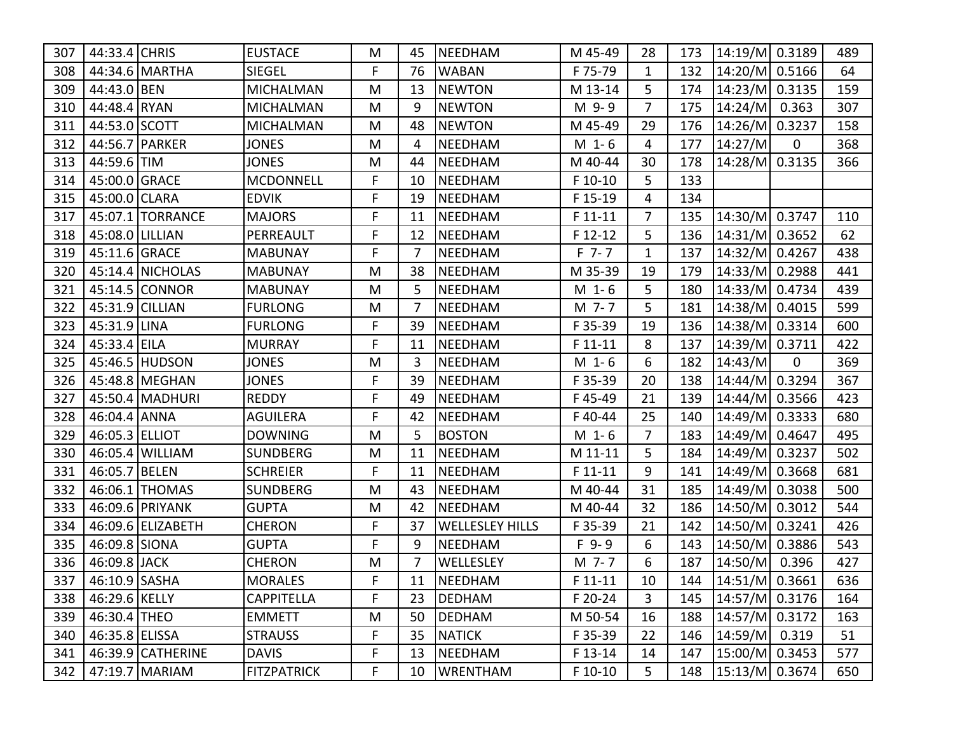| 307 | 44:33.4 CHRIS     |                    | <b>EUSTACE</b>     | M  | 45 | NEEDHAM                | M 45-49   | 28             | 173 | 14:19/M 0.3189         |             | 489 |
|-----|-------------------|--------------------|--------------------|----|----|------------------------|-----------|----------------|-----|------------------------|-------------|-----|
| 308 |                   | 44:34.6 MARTHA     | <b>SIEGEL</b>      | F  | 76 | <b>WABAN</b>           | F 75-79   | $\mathbf{1}$   | 132 | 14:20/M 0.5166         |             | 64  |
| 309 | 44:43.0 BEN       |                    | <b>MICHALMAN</b>   | M  | 13 | <b>NEWTON</b>          | M 13-14   | 5              | 174 | 14:23/M 0.3135         |             | 159 |
| 310 | 44:48.4 RYAN      |                    | <b>MICHALMAN</b>   | M  | 9  | <b>NEWTON</b>          | M 9-9     | $\overline{7}$ | 175 | $ 14:24/M $ 0.363      |             | 307 |
| 311 | 44:53.0 SCOTT     |                    | <b>MICHALMAN</b>   | M  | 48 | <b>NEWTON</b>          | M 45-49   | 29             | 176 | 14:26/M 0.3237         |             | 158 |
| 312 |                   | 44:56.7 PARKER     | <b>JONES</b>       | M  | 4  | <b>NEEDHAM</b>         | $M_1 - 6$ | 4              | 177 | 14:27/M                | 0           | 368 |
| 313 | 44:59.6 TIM       |                    | <b>JONES</b>       | M  | 44 | <b>NEEDHAM</b>         | M 40-44   | 30             | 178 | 14:28/M 0.3135         |             | 366 |
| 314 | 45:00.0 GRACE     |                    | <b>MCDONNELL</b>   | F  | 10 | <b>NEEDHAM</b>         | F 10-10   | 5              | 133 |                        |             |     |
| 315 | 45:00.0 CLARA     |                    | <b>EDVIK</b>       | F  | 19 | <b>NEEDHAM</b>         | F 15-19   | 4              | 134 |                        |             |     |
| 317 |                   | 45:07.1   TORRANCE | <b>MAJORS</b>      | F  | 11 | <b>NEEDHAM</b>         | $F11-11$  | 7              | 135 | 14:30/M 0.3747         |             | 110 |
| 318 | 45:08.0   LILLIAN |                    | PERREAULT          | F  | 12 | <b>NEEDHAM</b>         | F 12-12   | 5              | 136 | 14:31/M 0.3652         |             | 62  |
| 319 | 45:11.6 GRACE     |                    | <b>MABUNAY</b>     | F  | 7  | <b>NEEDHAM</b>         | $F$ 7-7   | 1              | 137 | 14:32/M 0.4267         |             | 438 |
| 320 |                   | 45:14.4 NICHOLAS   | <b>MABUNAY</b>     | M  | 38 | <b>NEEDHAM</b>         | M 35-39   | 19             | 179 | 14:33/M 0.2988         |             | 441 |
| 321 |                   | 45:14.5 CONNOR     | <b>MABUNAY</b>     | M  | 5  | <b>NEEDHAM</b>         | $M_1 - 6$ | 5              | 180 | 14:33/M 0.4734         |             | 439 |
| 322 | 45:31.9 CILLIAN   |                    | <b>FURLONG</b>     | M  | 7  | <b>NEEDHAM</b>         | M 7-7     | 5              | 181 | 14:38/M 0.4015         |             | 599 |
| 323 | 45:31.9 LINA      |                    | <b>FURLONG</b>     | F. | 39 | <b>NEEDHAM</b>         | F 35-39   | 19             | 136 | 14:38/M 0.3314         |             | 600 |
| 324 | 45:33.4 EILA      |                    | <b>MURRAY</b>      | F  | 11 | <b>NEEDHAM</b>         | F 11-11   | 8              | 137 | 14:39/M 0.3711         |             | 422 |
| 325 |                   | 45:46.5 HUDSON     | <b>JONES</b>       | M  | 3  | <b>NEEDHAM</b>         | $M_1 - 6$ | 6              | 182 | 14:43/M                | $\mathbf 0$ | 369 |
| 326 |                   | 45:48.8 MEGHAN     | <b>JONES</b>       | F  | 39 | <b>NEEDHAM</b>         | F 35-39   | 20             | 138 | 14:44/M 0.3294         |             | 367 |
| 327 |                   | 45:50.4 MADHURI    | <b>REDDY</b>       | F  | 49 | <b>NEEDHAM</b>         | F45-49    | 21             | 139 | 14:44/M 0.3566         |             | 423 |
| 328 | 46:04.4 ANNA      |                    | <b>AGUILERA</b>    | F  | 42 | <b>NEEDHAM</b>         | F40-44    | 25             | 140 | 14:49/M 0.3333         |             | 680 |
| 329 | 46:05.3 ELLIOT    |                    | <b>DOWNING</b>     | M  | 5  | <b>BOSTON</b>          | $M_1 - 6$ | 7              | 183 | 14:49/M 0.4647         |             | 495 |
| 330 |                   | 46:05.4 WILLIAM    | <b>SUNDBERG</b>    | M  | 11 | NEEDHAM                | M 11-11   | 5              | 184 | 14:49/M 0.3237         |             | 502 |
| 331 | 46:05.7 BELEN     |                    | <b>SCHREIER</b>    | F  | 11 | NEEDHAM                | $F11-11$  | 9              | 141 | 14:49/M 0.3668         |             | 681 |
| 332 |                   | 46:06.1 THOMAS     | <b>SUNDBERG</b>    | M  | 43 | <b>NEEDHAM</b>         | M 40-44   | 31             | 185 | 14:49/M 0.3038         |             | 500 |
| 333 |                   | 46:09.6 PRIYANK    | <b>GUPTA</b>       | M  | 42 | <b>NEEDHAM</b>         | M 40-44   | 32             | 186 | 14:50/M 0.3012         |             | 544 |
| 334 |                   | 46:09.6 ELIZABETH  | <b>CHERON</b>      | F  | 37 | <b>WELLESLEY HILLS</b> | F 35-39   | 21             | 142 | 14:50/M 0.3241         |             | 426 |
| 335 | 46:09.8 SIONA     |                    | <b>GUPTA</b>       | F  | 9  | <b>NEEDHAM</b>         | $F$ 9-9   | 6              | 143 | 14:50/M 0.3886         |             | 543 |
| 336 | 46:09.8 JACK      |                    | <b>CHERON</b>      | M  | 7  | WELLESLEY              | M 7-7     | 6              | 187 | $14:50/M$ 0.396        |             | 427 |
|     | 337 46:10.9 SASHA |                    | <b>MORALES</b>     | F  |    | 11  NEEDHAM            | $F11-11$  | 10             |     | 144   14:51/M   0.3661 |             | 636 |
| 338 | 46:29.6 KELLY     |                    | <b>CAPPITELLA</b>  | F  | 23 | DEDHAM                 | F 20-24   | 3              |     | 145   14:57/M   0.3176 |             | 164 |
| 339 | 46:30.4 THEO      |                    | <b>EMMETT</b>      | M  | 50 | <b>DEDHAM</b>          | M 50-54   | 16             | 188 | 14:57/M 0.3172         |             | 163 |
| 340 | 46:35.8 ELISSA    |                    | <b>STRAUSS</b>     | F  | 35 | NATICK                 | F 35-39   | 22             |     | 146   14:59/M   0.319  |             | 51  |
| 341 |                   | 46:39.9 CATHERINE  | <b>DAVIS</b>       | F  | 13 | NEEDHAM                | F 13-14   | 14             | 147 | 15:00/M 0.3453         |             | 577 |
| 342 |                   | 47:19.7 MARIAM     | <b>FITZPATRICK</b> | F. | 10 | WRENTHAM               | $F$ 10-10 | 5              | 148 | 15:13/M 0.3674         |             | 650 |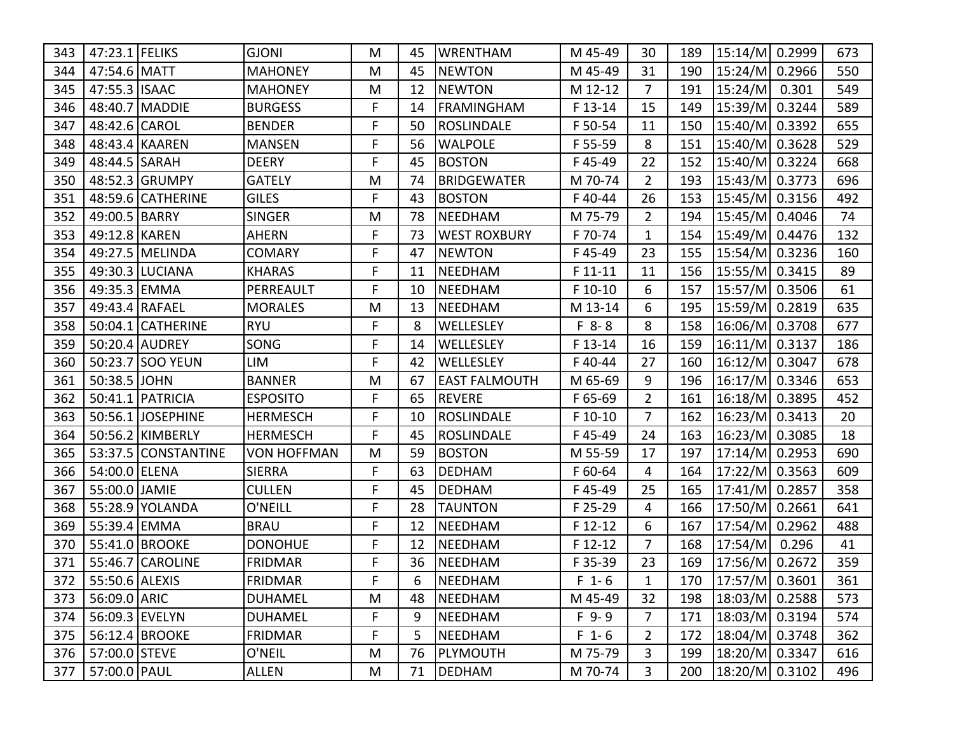| 343 | 47:23.1 FELIKS     |                     | <b>GJONI</b>       | M | 45 | <b>WRENTHAM</b>      | M 45-49   | 30             | 189 | 15:14/M 0.2999       | 673 |
|-----|--------------------|---------------------|--------------------|---|----|----------------------|-----------|----------------|-----|----------------------|-----|
| 344 | 47:54.6 MATT       |                     | <b>MAHONEY</b>     | M | 45 | <b>NEWTON</b>        | M 45-49   | 31             | 190 | 15:24/M 0.2966       | 550 |
| 345 | 47:55.3 ISAAC      |                     | <b>MAHONEY</b>     | M | 12 | <b>NEWTON</b>        | M 12-12   | $\overline{7}$ | 191 | 15:24/M 0.301        | 549 |
| 346 |                    | 48:40.7 MADDIE      | <b>BURGESS</b>     | F | 14 | <b>FRAMINGHAM</b>    | F 13-14   | 15             | 149 | 15:39/M 0.3244       | 589 |
| 347 | 48:42.6 CAROL      |                     | <b>BENDER</b>      | F | 50 | <b>ROSLINDALE</b>    | F 50-54   | 11             | 150 | 15:40/M 0.3392       | 655 |
| 348 |                    | 48:43.4 KAAREN      | <b>MANSEN</b>      | F | 56 | <b>WALPOLE</b>       | F 55-59   | 8              | 151 | 15:40/M 0.3628       | 529 |
| 349 | 48:44.5 SARAH      |                     | <b>DEERY</b>       | F | 45 | <b>BOSTON</b>        | F45-49    | 22             | 152 | 15:40/M 0.3224       | 668 |
| 350 |                    | 48:52.3 GRUMPY      | <b>GATELY</b>      | M | 74 | <b>BRIDGEWATER</b>   | M 70-74   | $\overline{2}$ | 193 | 15:43/M 0.3773       | 696 |
| 351 |                    | 48:59.6 CATHERINE   | <b>GILES</b>       | F | 43 | <b>BOSTON</b>        | F40-44    | 26             | 153 | 15:45/M 0.3156       | 492 |
| 352 | 49:00.5 BARRY      |                     | <b>SINGER</b>      | M | 78 | NEEDHAM              | M 75-79   | $\overline{2}$ | 194 | 15:45/M 0.4046       | 74  |
| 353 | 49:12.8 KAREN      |                     | <b>AHERN</b>       | F | 73 | <b>WEST ROXBURY</b>  | F 70-74   | 1              | 154 | 15:49/M 0.4476       | 132 |
| 354 |                    | 49:27.5 MELINDA     | <b>COMARY</b>      | F | 47 | <b>NEWTON</b>        | F45-49    | 23             | 155 | 15:54/M 0.3236       | 160 |
| 355 |                    | 49:30.3 LUCIANA     | <b>KHARAS</b>      | F | 11 | <b>NEEDHAM</b>       | F 11-11   | 11             | 156 | 15:55/M 0.3415       | 89  |
| 356 | 49:35.3 EMMA       |                     | PERREAULT          | F | 10 | <b>NEEDHAM</b>       | F 10-10   | 6              | 157 | 15:57/M 0.3506       | 61  |
| 357 | 49:43.4 RAFAEL     |                     | <b>MORALES</b>     | M | 13 | <b>NEEDHAM</b>       | M 13-14   | 6              | 195 | 15:59/M 0.2819       | 635 |
| 358 |                    | 50:04.1 CATHERINE   | <b>RYU</b>         | F | 8  | WELLESLEY            | $F 8 - 8$ | 8              | 158 | 16:06/M 0.3708       | 677 |
| 359 |                    | 50:20.4 AUDREY      | SONG               | F | 14 | WELLESLEY            | F 13-14   | 16             | 159 | 16:11/M 0.3137       | 186 |
| 360 |                    | 50:23.7 SOO YEUN    | LIM                | F | 42 | WELLESLEY            | F40-44    | 27             | 160 | 16:12/M 0.3047       | 678 |
| 361 | 50:38.5 JOHN       |                     | <b>BANNER</b>      | M | 67 | <b>EAST FALMOUTH</b> | M 65-69   | 9              | 196 | 16:17/M 0.3346       | 653 |
| 362 |                    | 50:41.1   PATRICIA  | <b>ESPOSITO</b>    | F | 65 | <b>REVERE</b>        | F 65-69   | $\overline{2}$ | 161 | 16:18/M 0.3895       | 452 |
| 363 |                    | 50:56.1 JOSEPHINE   | <b>HERMESCH</b>    | F | 10 | <b>ROSLINDALE</b>    | F 10-10   | $\overline{7}$ | 162 | $16:23/M$ 0.3413     | 20  |
| 364 |                    | 50:56.2 KIMBERLY    | <b>HERMESCH</b>    | F | 45 | ROSLINDALE           | F45-49    | 24             | 163 | 16:23/M 0.3085       | 18  |
| 365 |                    | 53:37.5 CONSTANTINE | <b>VON HOFFMAN</b> | M | 59 | <b>BOSTON</b>        | M 55-59   | 17             | 197 | 17:14/M 0.2953       | 690 |
| 366 | 54:00.0 ELENA      |                     | <b>SIERRA</b>      | F | 63 | <b>DEDHAM</b>        | F 60-64   | 4              | 164 | 17:22/M 0.3563       | 609 |
| 367 | 55:00.0 JAMIE      |                     | <b>CULLEN</b>      | F | 45 | <b>DEDHAM</b>        | F45-49    | 25             | 165 | 17:41/M 0.2857       | 358 |
| 368 |                    | 55:28.9 YOLANDA     | O'NEILL            | F | 28 | <b>TAUNTON</b>       | F 25-29   | 4              | 166 | 17:50/M 0.2661       | 641 |
| 369 | 55:39.4 EMMA       |                     | <b>BRAU</b>        | F | 12 | <b>NEEDHAM</b>       | F 12-12   | 6              | 167 | 17:54/M 0.2962       | 488 |
| 370 |                    | 55:41.0 BROOKE      | <b>DONOHUE</b>     | F | 12 | <b>NEEDHAM</b>       | F 12-12   | $\overline{7}$ | 168 | $ 17:54/M $ 0.296    | 41  |
| 371 |                    | 55:46.7 CAROLINE    | <b>FRIDMAR</b>     | F | 36 | <b>NEEDHAM</b>       | F 35-39   | 23             | 169 | 17:56/M 0.2672       | 359 |
|     | 372 55:50.6 ALEXIS |                     | FRIDMAR            | F | 6  | NEEDHAM              | $F_1 - 6$ | $\mathbf{1}$   |     | 170   17:57/M 0.3601 | 361 |
| 373 | 56:09.0 ARIC       |                     | <b>DUHAMEL</b>     | M | 48 | NEEDHAM              | M 45-49   | 32             | 198 | $ 18:03/M $ 0.2588   | 573 |
| 374 | 56:09.3 EVELYN     |                     | <b>DUHAMEL</b>     | F | 9  | <b>NEEDHAM</b>       | $F$ 9-9   | 7 <sup>1</sup> | 171 | 18:03/M  0.3194      | 574 |
| 375 |                    | 56:12.4 BROOKE      | <b>FRIDMAR</b>     | F | 5  | NEEDHAM              | $F_1 - 6$ | $\overline{2}$ | 172 | 18:04/M 0.3748       | 362 |
| 376 | 57:00.0 STEVE      |                     | O'NEIL             | M | 76 | PLYMOUTH             | M 75-79   | 3              | 199 | 18:20/M 0.3347       | 616 |
| 377 | 57:00.0 PAUL       |                     | ALLEN              | M | 71 | <b>DEDHAM</b>        | M 70-74   | 3              | 200 | 18:20/M 0.3102       | 496 |